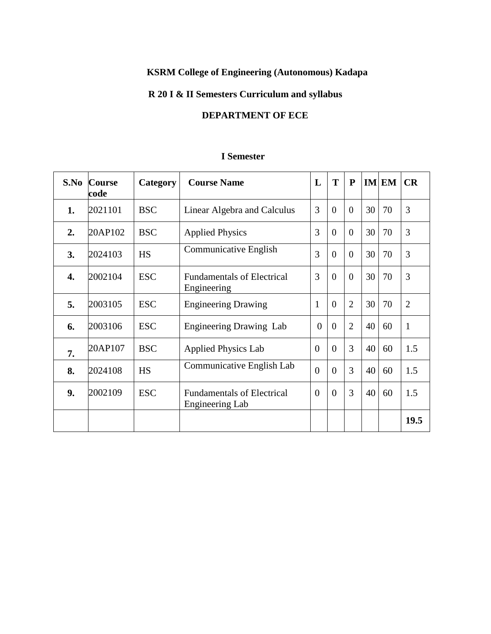# **KSRM College of Engineering (Autonomous) Kadapa**

# **R 20 I & II Semesters Curriculum and syllabus**

# **DEPARTMENT OF ECE**

# **I Semester**

| S.No | <b>Course</b><br>code | Category   | <b>Course Name</b>                                   | L              | T              | ${\bf P}$      |    | IM EM | CR             |
|------|-----------------------|------------|------------------------------------------------------|----------------|----------------|----------------|----|-------|----------------|
| 1.   | 2021101               | <b>BSC</b> | Linear Algebra and Calculus                          | 3              | $\overline{0}$ | $\overline{0}$ | 30 | 70    | 3              |
| 2.   | 20AP102               | <b>BSC</b> | <b>Applied Physics</b>                               | 3              | $\overline{0}$ | $\theta$       | 30 | 70    | 3              |
| 3.   | 2024103               | <b>HS</b>  | <b>Communicative English</b>                         | 3              | $\overline{0}$ | $\Omega$       | 30 | 70    | 3              |
| 4.   | 2002104               | <b>ESC</b> | <b>Fundamentals of Electrical</b><br>Engineering     | 3              | $\overline{0}$ | $\theta$       | 30 | 70    | 3              |
| 5.   | 2003105               | <b>ESC</b> | <b>Engineering Drawing</b>                           | $\mathbf{1}$   | $\Omega$       | $\overline{2}$ | 30 | 70    | $\overline{2}$ |
| 6.   | 2003106               | <b>ESC</b> | <b>Engineering Drawing Lab</b>                       | $\theta$       | $\theta$       | $\overline{2}$ | 40 | 60    | $\mathbf{1}$   |
| 7.   | 20AP107               | <b>BSC</b> | <b>Applied Physics Lab</b>                           | $\overline{0}$ | $\Omega$       | 3              | 40 | 60    | 1.5            |
| 8.   | 2024108               | <b>HS</b>  | Communicative English Lab                            | $\overline{0}$ | $\overline{0}$ | 3              | 40 | 60    | 1.5            |
| 9.   | 2002109               | <b>ESC</b> | <b>Fundamentals of Electrical</b><br>Engineering Lab | $\overline{0}$ | $\overline{0}$ | 3              | 40 | 60    | 1.5            |
|      |                       |            |                                                      |                |                |                |    |       | 19.5           |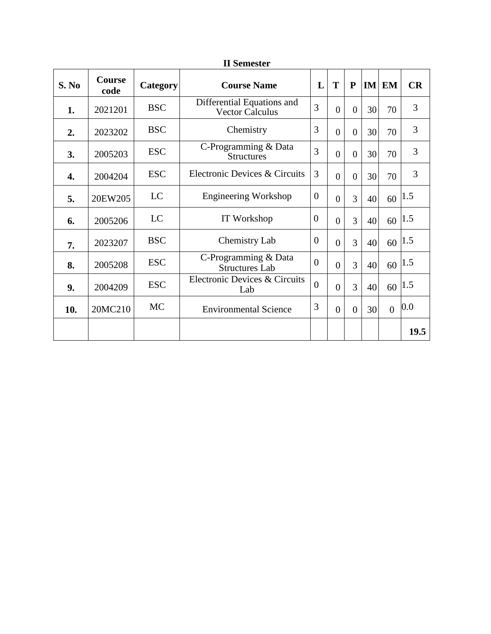|       |                       |            | <b>II</b> Semester                                   |                |                |                |    |          |         |
|-------|-----------------------|------------|------------------------------------------------------|----------------|----------------|----------------|----|----------|---------|
| S. No | <b>Course</b><br>code | Category   | <b>Course Name</b>                                   | L              | T              | $\mathbf{P}$   |    | $IM$ EM  | CR      |
| 1.    | 2021201               | <b>BSC</b> | Differential Equations and<br><b>Vector Calculus</b> | 3              | $\overline{0}$ | $\overline{0}$ | 30 | 70       | 3       |
| 2.    | 2023202               | <b>BSC</b> | Chemistry                                            | 3              | $\overline{0}$ | $\overline{0}$ | 30 | 70       | 3       |
| 3.    | 2005203               | <b>ESC</b> | C-Programming & Data<br><b>Structures</b>            | 3              | $\overline{0}$ | $\overline{0}$ | 30 | 70       | 3       |
| 4.    | 2004204               | <b>ESC</b> | Electronic Devices & Circuits                        | 3              | $\theta$       | $\overline{0}$ | 30 | 70       | 3       |
| 5.    | 20EW205               | LC         | <b>Engineering Workshop</b>                          | $\overline{0}$ | $\overline{0}$ | 3              | 40 | 60       | 1.5     |
| 6.    | 2005206               | LC         | IT Workshop                                          | $\theta$       | $\theta$       | 3              | 40 | 60       | 1.5     |
| 7.    | 2023207               | <b>BSC</b> | <b>Chemistry Lab</b>                                 | $\theta$       | $\theta$       | 3              | 40 | 60       | 1.5     |
| 8.    | 2005208               | <b>ESC</b> | C-Programming & Data<br><b>Structures Lab</b>        | $\theta$       | $\theta$       | 3              | 40 | 60       | 1.5     |
| 9.    | 2004209               | <b>ESC</b> | Electronic Devices & Circuits<br>Lab                 | $\overline{0}$ | $\theta$       | 3              | 40 | 60       | 1.5     |
| 10.   | 20MC210               | <b>MC</b>  | <b>Environmental Science</b>                         | 3              | $\theta$       | $\Omega$       | 30 | $\theta$ | $0.0\,$ |
|       |                       |            |                                                      |                |                |                |    |          | 19.5    |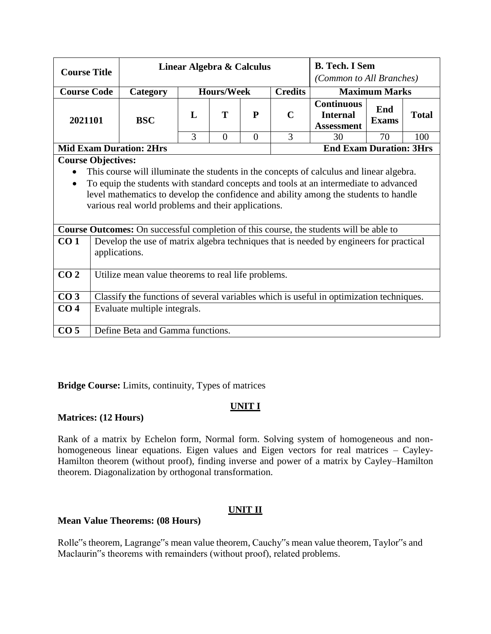| <b>Course Title</b> |                                                                                         |                                                                                               |                                     | Linear Algebra & Calculus |             |                      |                                                           | <b>B.</b> Tech. I Sem |              |  |  |  |
|---------------------|-----------------------------------------------------------------------------------------|-----------------------------------------------------------------------------------------------|-------------------------------------|---------------------------|-------------|----------------------|-----------------------------------------------------------|-----------------------|--------------|--|--|--|
|                     |                                                                                         |                                                                                               |                                     |                           |             |                      | (Common to All Branches)                                  |                       |              |  |  |  |
| <b>Course Code</b>  |                                                                                         | Category                                                                                      | <b>Credits</b><br><b>Hours/Week</b> |                           |             | <b>Maximum Marks</b> |                                                           |                       |              |  |  |  |
| 2021101             |                                                                                         | <b>BSC</b>                                                                                    | L                                   | Т                         | $\mathbf P$ | $\mathbf C$          | <b>Continuous</b><br><b>Internal</b><br><b>Assessment</b> | End<br><b>Exams</b>   | <b>Total</b> |  |  |  |
|                     |                                                                                         |                                                                                               | 3                                   | $\theta$                  | $\theta$    | 3                    | 30                                                        | 70                    | 100          |  |  |  |
|                     |                                                                                         | <b>End Exam Duration: 3Hrs</b><br><b>Mid Exam Duration: 2Hrs</b>                              |                                     |                           |             |                      |                                                           |                       |              |  |  |  |
|                     |                                                                                         | <b>Course Objectives:</b>                                                                     |                                     |                           |             |                      |                                                           |                       |              |  |  |  |
| $\bullet$           |                                                                                         | This course will illuminate the students in the concepts of calculus and linear algebra.      |                                     |                           |             |                      |                                                           |                       |              |  |  |  |
| $\bullet$           |                                                                                         | To equip the students with standard concepts and tools at an intermediate to advanced         |                                     |                           |             |                      |                                                           |                       |              |  |  |  |
|                     | level mathematics to develop the confidence and ability among the students to handle    |                                                                                               |                                     |                           |             |                      |                                                           |                       |              |  |  |  |
|                     |                                                                                         | various real world problems and their applications.                                           |                                     |                           |             |                      |                                                           |                       |              |  |  |  |
|                     |                                                                                         |                                                                                               |                                     |                           |             |                      |                                                           |                       |              |  |  |  |
|                     |                                                                                         | <b>Course Outcomes:</b> On successful completion of this course, the students will be able to |                                     |                           |             |                      |                                                           |                       |              |  |  |  |
| CO <sub>1</sub>     |                                                                                         | Develop the use of matrix algebra techniques that is needed by engineers for practical        |                                     |                           |             |                      |                                                           |                       |              |  |  |  |
|                     | applications.                                                                           |                                                                                               |                                     |                           |             |                      |                                                           |                       |              |  |  |  |
| CO <sub>2</sub>     |                                                                                         | Utilize mean value theorems to real life problems.                                            |                                     |                           |             |                      |                                                           |                       |              |  |  |  |
|                     |                                                                                         |                                                                                               |                                     |                           |             |                      |                                                           |                       |              |  |  |  |
| CO <sub>3</sub>     | Classify the functions of several variables which is useful in optimization techniques. |                                                                                               |                                     |                           |             |                      |                                                           |                       |              |  |  |  |
| CO <sub>4</sub>     |                                                                                         | Evaluate multiple integrals.                                                                  |                                     |                           |             |                      |                                                           |                       |              |  |  |  |
| CO <sub>5</sub>     |                                                                                         | Define Beta and Gamma functions.                                                              |                                     |                           |             |                      |                                                           |                       |              |  |  |  |

**Bridge Course:** Limits, continuity, Types of matrices

# **UNIT I**

## **Matrices: (12 Hours)**

Rank of a matrix by Echelon form, Normal form. Solving system of homogeneous and nonhomogeneous linear equations. Eigen values and Eigen vectors for real matrices – Cayley-Hamilton theorem (without proof), finding inverse and power of a matrix by Cayley–Hamilton theorem. Diagonalization by orthogonal transformation.

# **UNIT II**

## **Mean Value Theorems: (08 Hours)**

Rolle"s theorem, Lagrange"s mean value theorem, Cauchy"s mean value theorem, Taylor"s and Maclaurin"s theorems with remainders (without proof), related problems.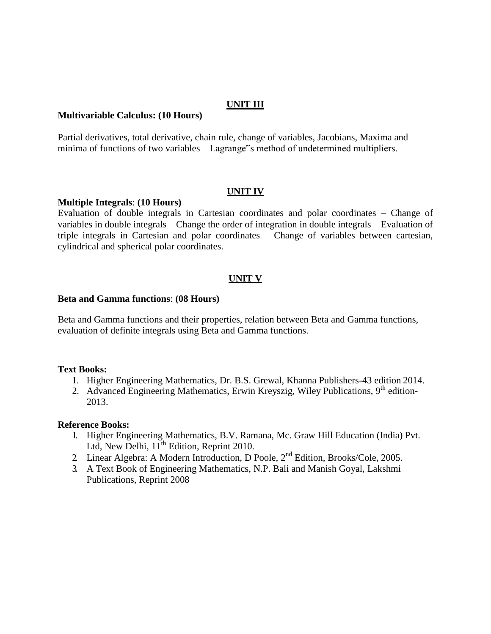#### **UNIT III**

#### **Multivariable Calculus: (10 Hours)**

Partial derivatives, total derivative, chain rule, change of variables, Jacobians, Maxima and minima of functions of two variables – Lagrange"s method of undetermined multipliers.

#### **UNIT IV**

#### **Multiple Integrals**: **(10 Hours)**

Evaluation of double integrals in Cartesian coordinates and polar coordinates – Change of variables in double integrals – Change the order of integration in double integrals – Evaluation of triple integrals in Cartesian and polar coordinates – Change of variables between cartesian, cylindrical and spherical polar coordinates.

#### **UNIT V**

#### **Beta and Gamma functions**: **(08 Hours)**

Beta and Gamma functions and their properties, relation between Beta and Gamma functions, evaluation of definite integrals using Beta and Gamma functions.

#### **Text Books:**

- 1. Higher Engineering Mathematics, Dr. B.S. Grewal, Khanna Publishers-43 edition 2014.
- 2. Advanced Engineering Mathematics, Erwin Kreyszig, Wiley Publications, 9<sup>th</sup> edition-2013.

#### **Reference Books:**

- 1. Higher Engineering Mathematics, B.V. Ramana, Mc. Graw Hill Education (India) Pvt. Ltd, New Delhi,  $11^{th}$  Edition, Reprint 2010.
- 2. Linear Algebra: A Modern Introduction, D Poole, 2nd Edition, Brooks/Cole, 2005.
- 3. A Text Book of Engineering Mathematics, N.P. Bali and Manish Goyal, Lakshmi Publications, Reprint 2008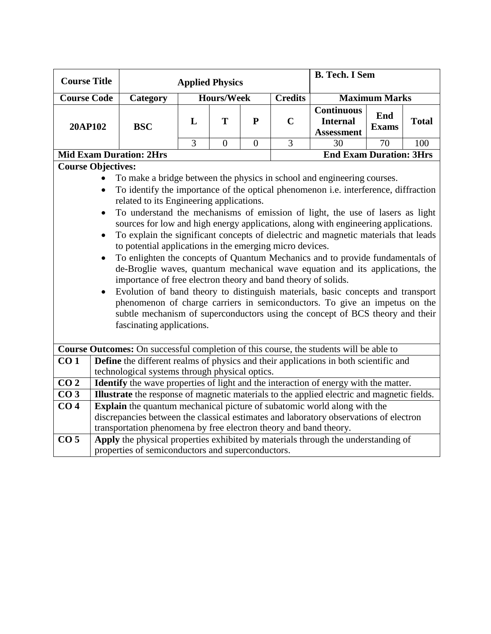| <b>Course Title</b>       |                                                                                                                                                                                                                                                                                                                                                                                                                                                                                                                                                                                                                                                                                                                                                                                                                                                      |                                                                                                                                                                                |                | <b>Applied Physics</b> |                |                | <b>B. Tech. I Sem</b>                                     |                      |              |  |  |
|---------------------------|------------------------------------------------------------------------------------------------------------------------------------------------------------------------------------------------------------------------------------------------------------------------------------------------------------------------------------------------------------------------------------------------------------------------------------------------------------------------------------------------------------------------------------------------------------------------------------------------------------------------------------------------------------------------------------------------------------------------------------------------------------------------------------------------------------------------------------------------------|--------------------------------------------------------------------------------------------------------------------------------------------------------------------------------|----------------|------------------------|----------------|----------------|-----------------------------------------------------------|----------------------|--------------|--|--|
|                           |                                                                                                                                                                                                                                                                                                                                                                                                                                                                                                                                                                                                                                                                                                                                                                                                                                                      |                                                                                                                                                                                |                |                        |                |                |                                                           |                      |              |  |  |
| <b>Course Code</b>        |                                                                                                                                                                                                                                                                                                                                                                                                                                                                                                                                                                                                                                                                                                                                                                                                                                                      | Category                                                                                                                                                                       |                | <b>Hours/Week</b>      |                | <b>Credits</b> |                                                           | <b>Maximum Marks</b> |              |  |  |
| 20AP102                   |                                                                                                                                                                                                                                                                                                                                                                                                                                                                                                                                                                                                                                                                                                                                                                                                                                                      | <b>BSC</b>                                                                                                                                                                     | L              | T                      | $\mathbf{P}$   | $\mathbf C$    | <b>Continuous</b><br><b>Internal</b><br><b>Assessment</b> | End<br><b>Exams</b>  | <b>Total</b> |  |  |
|                           |                                                                                                                                                                                                                                                                                                                                                                                                                                                                                                                                                                                                                                                                                                                                                                                                                                                      |                                                                                                                                                                                | $\overline{3}$ | $\overline{0}$         | $\overline{0}$ | 3              | 30                                                        | 70                   | 100          |  |  |
|                           |                                                                                                                                                                                                                                                                                                                                                                                                                                                                                                                                                                                                                                                                                                                                                                                                                                                      | <b>Mid Exam Duration: 2Hrs</b>                                                                                                                                                 |                |                        |                |                | <b>End Exam Duration: 3Hrs</b>                            |                      |              |  |  |
| <b>Course Objectives:</b> |                                                                                                                                                                                                                                                                                                                                                                                                                                                                                                                                                                                                                                                                                                                                                                                                                                                      |                                                                                                                                                                                |                |                        |                |                |                                                           |                      |              |  |  |
|                           |                                                                                                                                                                                                                                                                                                                                                                                                                                                                                                                                                                                                                                                                                                                                                                                                                                                      | To make a bridge between the physics in school and engineering courses.                                                                                                        |                |                        |                |                |                                                           |                      |              |  |  |
|                           |                                                                                                                                                                                                                                                                                                                                                                                                                                                                                                                                                                                                                                                                                                                                                                                                                                                      | To identify the importance of the optical phenomenon i.e. interference, diffraction                                                                                            |                |                        |                |                |                                                           |                      |              |  |  |
|                           |                                                                                                                                                                                                                                                                                                                                                                                                                                                                                                                                                                                                                                                                                                                                                                                                                                                      | related to its Engineering applications.                                                                                                                                       |                |                        |                |                |                                                           |                      |              |  |  |
|                           | To understand the mechanisms of emission of light, the use of lasers as light<br>$\bullet$<br>sources for low and high energy applications, along with engineering applications.<br>To explain the significant concepts of dielectric and magnetic materials that leads<br>to potential applications in the emerging micro devices.<br>To enlighten the concepts of Quantum Mechanics and to provide fundamentals of<br>de-Broglie waves, quantum mechanical wave equation and its applications, the<br>importance of free electron theory and band theory of solids.<br>Evolution of band theory to distinguish materials, basic concepts and transport<br>phenomenon of charge carriers in semiconductors. To give an impetus on the<br>subtle mechanism of superconductors using the concept of BCS theory and their<br>fascinating applications. |                                                                                                                                                                                |                |                        |                |                |                                                           |                      |              |  |  |
| CO <sub>1</sub>           |                                                                                                                                                                                                                                                                                                                                                                                                                                                                                                                                                                                                                                                                                                                                                                                                                                                      | Course Outcomes: On successful completion of this course, the students will be able to<br>Define the different realms of physics and their applications in both scientific and |                |                        |                |                |                                                           |                      |              |  |  |
|                           |                                                                                                                                                                                                                                                                                                                                                                                                                                                                                                                                                                                                                                                                                                                                                                                                                                                      |                                                                                                                                                                                |                |                        |                |                |                                                           |                      |              |  |  |
| $\overline{CO2}$          | technological systems through physical optics.<br>Identify the wave properties of light and the interaction of energy with the matter.                                                                                                                                                                                                                                                                                                                                                                                                                                                                                                                                                                                                                                                                                                               |                                                                                                                                                                                |                |                        |                |                |                                                           |                      |              |  |  |
| CO <sub>3</sub>           |                                                                                                                                                                                                                                                                                                                                                                                                                                                                                                                                                                                                                                                                                                                                                                                                                                                      | Illustrate the response of magnetic materials to the applied electric and magnetic fields.                                                                                     |                |                        |                |                |                                                           |                      |              |  |  |
| CO <sub>4</sub>           |                                                                                                                                                                                                                                                                                                                                                                                                                                                                                                                                                                                                                                                                                                                                                                                                                                                      | Explain the quantum mechanical picture of subatomic world along with the                                                                                                       |                |                        |                |                |                                                           |                      |              |  |  |
|                           |                                                                                                                                                                                                                                                                                                                                                                                                                                                                                                                                                                                                                                                                                                                                                                                                                                                      | discrepancies between the classical estimates and laboratory observations of electron                                                                                          |                |                        |                |                |                                                           |                      |              |  |  |
|                           |                                                                                                                                                                                                                                                                                                                                                                                                                                                                                                                                                                                                                                                                                                                                                                                                                                                      | transportation phenomena by free electron theory and band theory.                                                                                                              |                |                        |                |                |                                                           |                      |              |  |  |
| CO <sub>5</sub>           |                                                                                                                                                                                                                                                                                                                                                                                                                                                                                                                                                                                                                                                                                                                                                                                                                                                      | Apply the physical properties exhibited by materials through the understanding of                                                                                              |                |                        |                |                |                                                           |                      |              |  |  |
|                           |                                                                                                                                                                                                                                                                                                                                                                                                                                                                                                                                                                                                                                                                                                                                                                                                                                                      | properties of semiconductors and superconductors.                                                                                                                              |                |                        |                |                |                                                           |                      |              |  |  |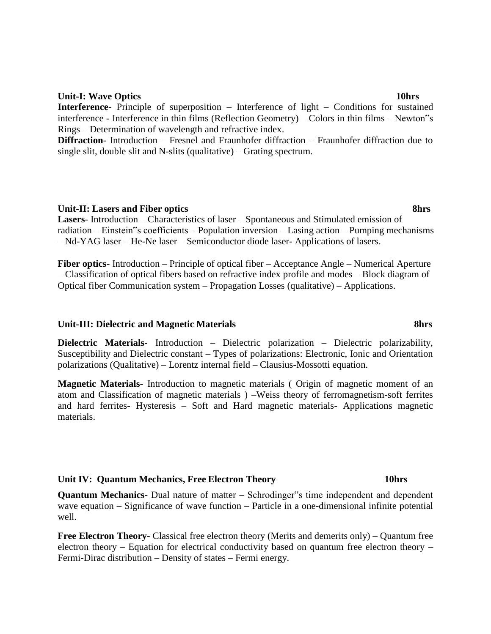#### **Unit-I: Wave Optics 10hrs**

**Interference**- Principle of superposition – Interference of light – Conditions for sustained interference - Interference in thin films (Reflection Geometry) – Colors in thin films – Newton"s Rings – Determination of wavelength and refractive index.

**Diffraction**- Introduction – Fresnel and Fraunhofer diffraction – Fraunhofer diffraction due to single slit, double slit and N-slits (qualitative) – Grating spectrum.

#### **Unit-II: Lasers and Fiber optics 8hrs**

**Lasers**- Introduction – Characteristics of laser – Spontaneous and Stimulated emission of radiation – Einstein"s coefficients – Population inversion – Lasing action – Pumping mechanisms – Nd-YAG laser – He-Ne laser – Semiconductor diode laser- Applications of lasers.

**Fiber optics**- Introduction – Principle of optical fiber – Acceptance Angle – Numerical Aperture – Classification of optical fibers based on refractive index profile and modes – Block diagram of Optical fiber Communication system – Propagation Losses (qualitative) – Applications.

#### **Unit-III: Dielectric and Magnetic Materials 8hrs**

**Dielectric Materials**- Introduction – Dielectric polarization – Dielectric polarizability, Susceptibility and Dielectric constant – Types of polarizations: Electronic, Ionic and Orientation polarizations (Qualitative) – Lorentz internal field – Clausius-Mossotti equation.

**Magnetic Materials**- Introduction to magnetic materials ( Origin of magnetic moment of an atom and Classification of magnetic materials ) –Weiss theory of ferromagnetism-soft ferrites and hard ferrites- Hysteresis – Soft and Hard magnetic materials- Applications magnetic materials.

#### **Unit IV: Quantum Mechanics, Free Electron Theory 10hrs**

**Quantum Mechanics**- Dual nature of matter – Schrodinger"s time independent and dependent wave equation – Significance of wave function – Particle in a one-dimensional infinite potential well.

**Free Electron Theory**- Classical free electron theory (Merits and demerits only) – Quantum free electron theory – Equation for electrical conductivity based on quantum free electron theory – Fermi**-**Dirac distribution – Density of states – Fermi energy.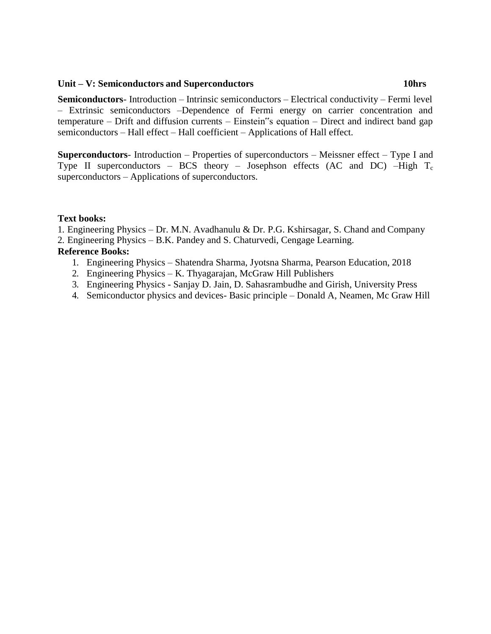#### **Unit – V: Semiconductors and Superconductors 10hrs**

**Semiconductors**- Introduction – Intrinsic semiconductors – Electrical conductivity – Fermi level – Extrinsic semiconductors –Dependence of Fermi energy on carrier concentration and temperature – Drift and diffusion currents – Einstein"s equation – Direct and indirect band gap semiconductors – Hall effect – Hall coefficient – Applications of Hall effect.

**Superconductors**- Introduction – Properties of superconductors – Meissner effect – Type I and Type II superconductors – BCS theory – Josephson effects (AC and DC) –High  $T_c$ superconductors – Applications of superconductors.

#### **Text books:**

1. Engineering Physics – Dr. M.N. Avadhanulu & Dr. P.G. Kshirsagar, S. Chand and Company

2. Engineering Physics – B.K. Pandey and S. Chaturvedi, Cengage Learning.

## **Reference Books:**

- 1. Engineering Physics Shatendra Sharma, Jyotsna Sharma, Pearson Education, 2018
- 2. Engineering Physics K. Thyagarajan, McGraw Hill Publishers
- 3. Engineering Physics Sanjay D. Jain, D. Sahasrambudhe and Girish, University Press
- 4. Semiconductor physics and devices- Basic principle Donald A, Neamen, Mc Graw Hill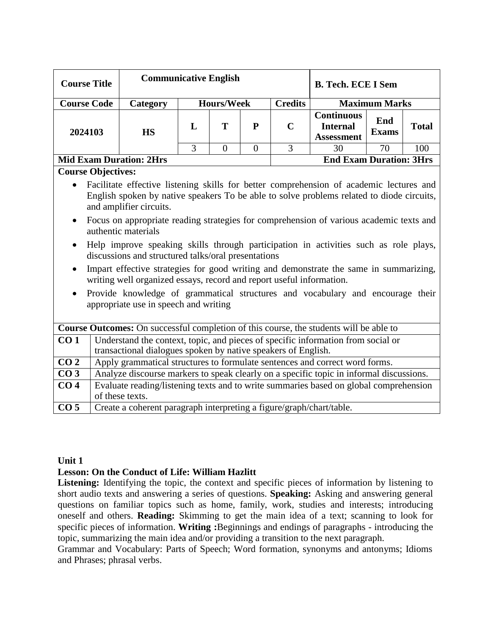| <b>Course Title</b>            |           | <b>Communicative English</b><br><b>B. Tech. ECE I Sem</b> |                   |                                |                |                                                           |                      |              |  |
|--------------------------------|-----------|-----------------------------------------------------------|-------------------|--------------------------------|----------------|-----------------------------------------------------------|----------------------|--------------|--|
| <b>Course Code</b>             | Category  |                                                           | <b>Hours/Week</b> |                                | <b>Credits</b> |                                                           | <b>Maximum Marks</b> |              |  |
| 2024103                        | <b>HS</b> | L                                                         | т                 | P                              | $\mathbf C$    | <b>Continuous</b><br><b>Internal</b><br><b>Assessment</b> | End<br><b>Exams</b>  | <b>Total</b> |  |
|                                |           | 3                                                         |                   |                                |                | 30                                                        | 70                   | 100          |  |
| <b>Mid Exam Duration: 2Hrs</b> |           |                                                           |                   | <b>End Exam Duration: 3Hrs</b> |                |                                                           |                      |              |  |

#### **Course Objectives:**

- Facilitate effective listening skills for better comprehension of academic lectures and English spoken by native speakers To be able to solve problems related to diode circuits, and amplifier circuits.
- Focus on appropriate reading strategies for comprehension of various academic texts and authentic materials
- Help improve speaking skills through participation in activities such as role plays, discussions and structured talks/oral presentations
- Impart effective strategies for good writing and demonstrate the same in summarizing, writing well organized essays, record and report useful information.
- Provide knowledge of grammatical structures and vocabulary and encourage their appropriate use in speech and writing

|                 | <b>Course Outcomes:</b> On successful completion of this course, the students will be able to                                                     |  |  |  |  |  |  |  |  |
|-----------------|---------------------------------------------------------------------------------------------------------------------------------------------------|--|--|--|--|--|--|--|--|
| CO <sub>1</sub> | Understand the context, topic, and pieces of specific information from social or<br>transactional dialogues spoken by native speakers of English. |  |  |  |  |  |  |  |  |
| CO <sub>2</sub> | Apply grammatical structures to formulate sentences and correct word forms.                                                                       |  |  |  |  |  |  |  |  |
| CO <sub>3</sub> | Analyze discourse markers to speak clearly on a specific topic in informal discussions.                                                           |  |  |  |  |  |  |  |  |
| CO <sub>4</sub> | Evaluate reading/listening texts and to write summaries based on global comprehension<br>of these texts.                                          |  |  |  |  |  |  |  |  |
| CO <sub>5</sub> | Create a coherent paragraph interpreting a figure/graph/chart/table.                                                                              |  |  |  |  |  |  |  |  |

#### **Unit 1**

#### **Lesson: On the Conduct of Life: William Hazlitt**

Listening: Identifying the topic, the context and specific pieces of information by listening to short audio texts and answering a series of questions. **Speaking:** Asking and answering general questions on familiar topics such as home, family, work, studies and interests; introducing oneself and others. **Reading:** Skimming to get the main idea of a text; scanning to look for specific pieces of information. **Writing :**Beginnings and endings of paragraphs - introducing the topic, summarizing the main idea and/or providing a transition to the next paragraph.

Grammar and Vocabulary: Parts of Speech; Word formation, synonyms and antonyms; Idioms and Phrases; phrasal verbs.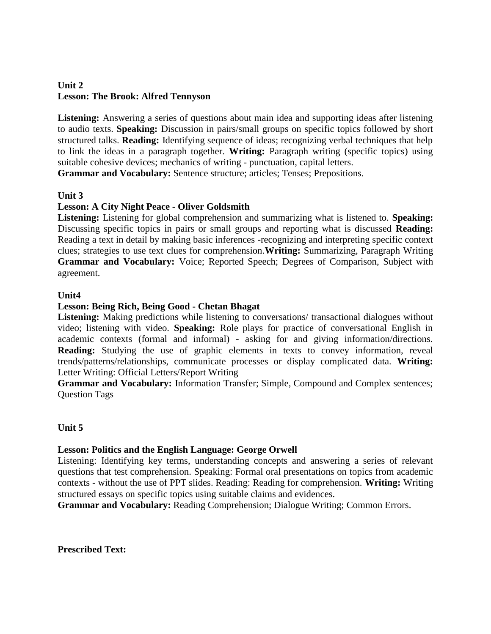# **Unit 2 Lesson: The Brook: Alfred Tennyson**

**Listening:** Answering a series of questions about main idea and supporting ideas after listening to audio texts. **Speaking:** Discussion in pairs/small groups on specific topics followed by short structured talks. **Reading:** Identifying sequence of ideas; recognizing verbal techniques that help to link the ideas in a paragraph together. **Writing:** Paragraph writing (specific topics) using suitable cohesive devices; mechanics of writing - punctuation, capital letters.

**Grammar and Vocabulary:** Sentence structure; articles; Tenses; Prepositions.

## **Unit 3**

## **Lesson: A City Night Peace - Oliver Goldsmith**

**Listening:** Listening for global comprehension and summarizing what is listened to. **Speaking:**  Discussing specific topics in pairs or small groups and reporting what is discussed **Reading:**  Reading a text in detail by making basic inferences -recognizing and interpreting specific context clues; strategies to use text clues for comprehension.**Writing:** Summarizing, Paragraph Writing **Grammar and Vocabulary:** Voice; Reported Speech; Degrees of Comparison, Subject with agreement.

## **Unit4**

## **Lesson: Being Rich, Being Good - Chetan Bhagat**

Listening: Making predictions while listening to conversations/ transactional dialogues without video; listening with video. **Speaking:** Role plays for practice of conversational English in academic contexts (formal and informal) - asking for and giving information/directions. **Reading:** Studying the use of graphic elements in texts to convey information, reveal trends/patterns/relationships, communicate processes or display complicated data. **Writing:**  Letter Writing: Official Letters/Report Writing

**Grammar and Vocabulary:** Information Transfer; Simple, Compound and Complex sentences; Question Tags

# **Unit 5**

## **Lesson: Politics and the English Language: George Orwell**

Listening: Identifying key terms, understanding concepts and answering a series of relevant questions that test comprehension. Speaking: Formal oral presentations on topics from academic contexts - without the use of PPT slides. Reading: Reading for comprehension. **Writing:** Writing structured essays on specific topics using suitable claims and evidences.

**Grammar and Vocabulary:** Reading Comprehension; Dialogue Writing; Common Errors.

**Prescribed Text:**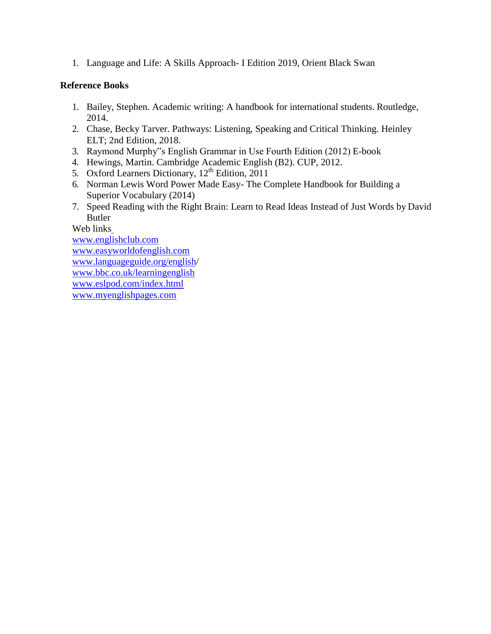1. Language and Life: A Skills Approach- I Edition 2019, Orient Black Swan

## **Reference Books**

- 1. Bailey, Stephen. Academic writing: A handbook for international students. Routledge, 2014.
- 2. Chase, Becky Tarver. Pathways: Listening, Speaking and Critical Thinking. Heinley ELT; 2nd Edition, 2018.
- 3. Raymond Murphy"s English Grammar in Use Fourth Edition (2012) E-book
- 4. Hewings, Martin. Cambridge Academic English (B2). CUP, 2012.
- 5. Oxford Learners Dictionary, 12<sup>th</sup> Edition, 2011
- 6. Norman Lewis Word Power Made Easy- The Complete Handbook for Building a Superior Vocabulary (2014)
- 7. Speed Reading with the Right Brain: Learn to Read Ideas Instead of Just Words by David Butler

Web links

[www.englishclub.com](http://www.englishclub.com/) [www.easyworldofenglish.com](http://www.easyworldofenglish.com/) [www.languageguide.org/english/](http://www.languageguide.org/english) [www.bbc.co.uk/learningenglish](http://www.bbc.co.uk/learningenglish) [www.eslpod.com/index.html](http://www.eslpod.com/index.html) [www.myenglishpages.com](http://www.myenglishpages.com/)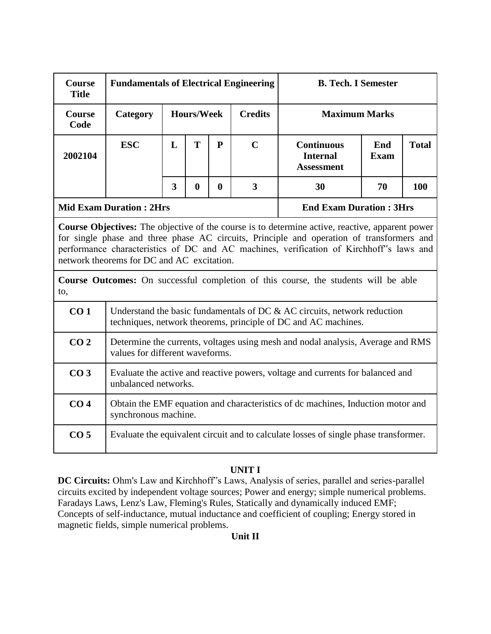| Course<br><b>Title</b> | <b>Fundamentals of Electrical Engineering</b> |                                                                                                                                                                                                                                                                                                                                              |                                     |                  |                         | <b>B. Tech. I Semester</b>                                                                                                                    |             |              |  |  |  |
|------------------------|-----------------------------------------------|----------------------------------------------------------------------------------------------------------------------------------------------------------------------------------------------------------------------------------------------------------------------------------------------------------------------------------------------|-------------------------------------|------------------|-------------------------|-----------------------------------------------------------------------------------------------------------------------------------------------|-------------|--------------|--|--|--|
| Course<br>Code         | Category                                      |                                                                                                                                                                                                                                                                                                                                              | <b>Hours/Week</b><br><b>Credits</b> |                  |                         | <b>Maximum Marks</b>                                                                                                                          | End         |              |  |  |  |
| 2002104                | <b>ESC</b>                                    | L                                                                                                                                                                                                                                                                                                                                            | T                                   | $\mathbf{P}$     | $\mathbf C$             | <b>Continuous</b><br><b>Internal</b><br><b>Assessment</b>                                                                                     | <b>Exam</b> | <b>Total</b> |  |  |  |
|                        |                                               | $\overline{3}$                                                                                                                                                                                                                                                                                                                               | $\bf{0}$                            | $\boldsymbol{0}$ | $\overline{\mathbf{3}}$ | 30                                                                                                                                            | 70          | 100          |  |  |  |
|                        | <b>Mid Exam Duration: 2Hrs</b>                |                                                                                                                                                                                                                                                                                                                                              |                                     |                  |                         | <b>End Exam Duration: 3Hrs</b>                                                                                                                |             |              |  |  |  |
|                        |                                               | <b>Course Objectives:</b> The objective of the course is to determine active, reactive, apparent power<br>for single phase and three phase AC circuits, Principle and operation of transformers and<br>performance characteristics of DC and AC machines, verification of Kirchhoff's laws and<br>network theorems for DC and AC excitation. |                                     |                  |                         |                                                                                                                                               |             |              |  |  |  |
| to,                    |                                               |                                                                                                                                                                                                                                                                                                                                              |                                     |                  |                         | <b>Course Outcomes:</b> On successful completion of this course, the students will be able                                                    |             |              |  |  |  |
| CO <sub>1</sub>        |                                               |                                                                                                                                                                                                                                                                                                                                              |                                     |                  |                         | Understand the basic fundamentals of DC $\&$ AC circuits, network reduction<br>techniques, network theorems, principle of DC and AC machines. |             |              |  |  |  |
| CO <sub>2</sub>        | values for different waveforms.               |                                                                                                                                                                                                                                                                                                                                              |                                     |                  |                         | Determine the currents, voltages using mesh and nodal analysis, Average and RMS                                                               |             |              |  |  |  |
| CO <sub>3</sub>        |                                               | Evaluate the active and reactive powers, voltage and currents for balanced and<br>unbalanced networks.                                                                                                                                                                                                                                       |                                     |                  |                         |                                                                                                                                               |             |              |  |  |  |
| CO <sub>4</sub>        | synchronous machine.                          |                                                                                                                                                                                                                                                                                                                                              |                                     |                  |                         | Obtain the EMF equation and characteristics of dc machines, Induction motor and                                                               |             |              |  |  |  |
| CO <sub>5</sub>        |                                               |                                                                                                                                                                                                                                                                                                                                              |                                     |                  |                         | Evaluate the equivalent circuit and to calculate losses of single phase transformer.                                                          |             |              |  |  |  |

## **UNIT I**

**DC Circuits:** Ohm's Law and Kirchhoff"s Laws, Analysis of series, parallel and series-parallel circuits excited by independent voltage sources; Power and energy; simple numerical problems. Faradays Laws, Lenz's Law, Fleming's Rules, Statically and dynamically induced EMF; Concepts of self-inductance, mutual inductance and coefficient of coupling; Energy stored in magnetic fields, simple numerical problems.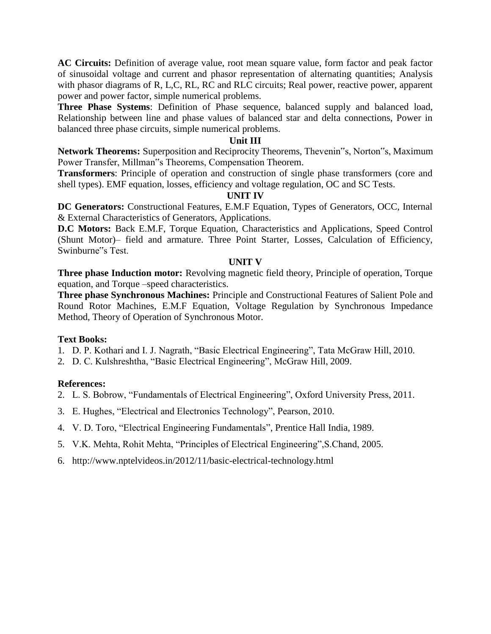**AC Circuits:** Definition of average value, root mean square value, form factor and peak factor of sinusoidal voltage and current and phasor representation of alternating quantities; Analysis with phasor diagrams of R, L,C, RL, RC and RLC circuits; Real power, reactive power, apparent power and power factor, simple numerical problems.

**Three Phase Systems**: Definition of Phase sequence, balanced supply and balanced load, Relationship between line and phase values of balanced star and delta connections, Power in balanced three phase circuits, simple numerical problems.

#### **Unit III**

**Network Theorems:** Superposition and Reciprocity Theorems, Thevenin"s, Norton"s, Maximum Power Transfer, Millman"s Theorems, Compensation Theorem.

**Transformers**: Principle of operation and construction of single phase transformers (core and shell types). EMF equation, losses, efficiency and voltage regulation, OC and SC Tests.

#### **UNIT IV**

**DC Generators:** Constructional Features, E.M.F Equation, Types of Generators, OCC, Internal & External Characteristics of Generators, Applications.

**D.C Motors:** Back E.M.F, Torque Equation, Characteristics and Applications, Speed Control (Shunt Motor)– field and armature. Three Point Starter, Losses, Calculation of Efficiency, Swinburne"s Test.

#### **UNIT V**

**Three phase Induction motor:** Revolving magnetic field theory, Principle of operation, Torque equation, and Torque –speed characteristics.

**Three phase Synchronous Machines:** Principle and Constructional Features of Salient Pole and Round Rotor Machines, E.M.F Equation, Voltage Regulation by Synchronous Impedance Method, Theory of Operation of Synchronous Motor.

#### **Text Books:**

- 1. D. P. Kothari and I. J. Nagrath, "Basic Electrical Engineering", Tata McGraw Hill, 2010.
- 2. D. C. Kulshreshtha, "Basic Electrical Engineering", McGraw Hill, 2009.

#### **References:**

- 2. L. S. Bobrow, "Fundamentals of Electrical Engineering", Oxford University Press, 2011.
- 3. E. Hughes, "Electrical and Electronics Technology", Pearson, 2010.
- 4. V. D. Toro, "Electrical Engineering Fundamentals", Prentice Hall India, 1989.
- 5. V.K. Mehta, Rohit Mehta, "Principles of Electrical Engineering",S.Chand, 2005.
- 6. <http://www.nptelvideos.in/2012/11/basic-electrical-technology.html>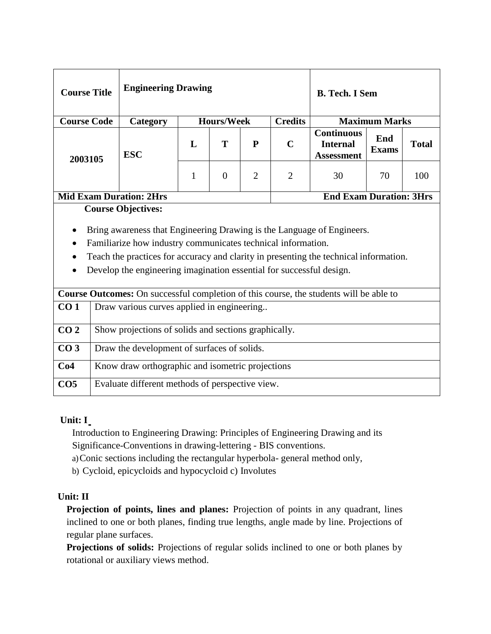| <b>Course Title</b> |                                                      | <b>Engineering Drawing</b>                                                                                                                                                                                                                                                                                                           |   |                   |                | <b>B.</b> Tech. I Sem |                                                           |                      |              |  |  |
|---------------------|------------------------------------------------------|--------------------------------------------------------------------------------------------------------------------------------------------------------------------------------------------------------------------------------------------------------------------------------------------------------------------------------------|---|-------------------|----------------|-----------------------|-----------------------------------------------------------|----------------------|--------------|--|--|
| <b>Course Code</b>  |                                                      | Category                                                                                                                                                                                                                                                                                                                             |   | <b>Hours/Week</b> |                | <b>Credits</b>        |                                                           | <b>Maximum Marks</b> |              |  |  |
| 2003105             |                                                      | <b>ESC</b>                                                                                                                                                                                                                                                                                                                           | L | T                 | P              | $\mathbf C$           | <b>Continuous</b><br><b>Internal</b><br><b>Assessment</b> | End<br><b>Exams</b>  | <b>Total</b> |  |  |
|                     |                                                      |                                                                                                                                                                                                                                                                                                                                      | 1 | $\theta$          | $\overline{2}$ | $\overline{2}$        | 30                                                        | 70                   | 100          |  |  |
|                     |                                                      | <b>Mid Exam Duration: 2Hrs</b><br><b>End Exam Duration: 3Hrs</b>                                                                                                                                                                                                                                                                     |   |                   |                |                       |                                                           |                      |              |  |  |
|                     |                                                      | <b>Course Objectives:</b><br>Bring awareness that Engineering Drawing is the Language of Engineers.<br>Familiarize how industry communicates technical information.<br>Teach the practices for accuracy and clarity in presenting the technical information.<br>Develop the engineering imagination essential for successful design. |   |                   |                |                       |                                                           |                      |              |  |  |
|                     |                                                      | Course Outcomes: On successful completion of this course, the students will be able to                                                                                                                                                                                                                                               |   |                   |                |                       |                                                           |                      |              |  |  |
| CO <sub>1</sub>     |                                                      | Draw various curves applied in engineering                                                                                                                                                                                                                                                                                           |   |                   |                |                       |                                                           |                      |              |  |  |
| CO <sub>2</sub>     | Show projections of solids and sections graphically. |                                                                                                                                                                                                                                                                                                                                      |   |                   |                |                       |                                                           |                      |              |  |  |
| CO <sub>3</sub>     | Draw the development of surfaces of solids.          |                                                                                                                                                                                                                                                                                                                                      |   |                   |                |                       |                                                           |                      |              |  |  |
| Co4                 | Know draw orthographic and isometric projections     |                                                                                                                                                                                                                                                                                                                                      |   |                   |                |                       |                                                           |                      |              |  |  |
| CO <sub>5</sub>     |                                                      | Evaluate different methods of perspective view.                                                                                                                                                                                                                                                                                      |   |                   |                |                       |                                                           |                      |              |  |  |

## **Unit: I**

Introduction to Engineering Drawing: Principles of Engineering Drawing and its Significance-Conventions in drawing-lettering - BIS conventions.

a)Conic sections including the rectangular hyperbola- general method only,

b) Cycloid, epicycloids and hypocycloid c) Involutes

## **Unit: II**

**Projection of points, lines and planes:** Projection of points in any quadrant, lines inclined to one or both planes, finding true lengths, angle made by line. Projections of regular plane surfaces.

**Projections of solids:** Projections of regular solids inclined to one or both planes by rotational or auxiliary views method.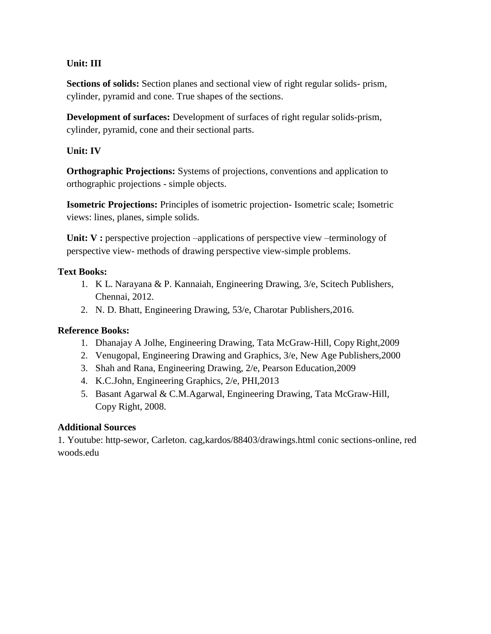# **Unit: III**

**Sections of solids:** Section planes and sectional view of right regular solids- prism, cylinder, pyramid and cone. True shapes of the sections.

**Development of surfaces:** Development of surfaces of right regular solids-prism, cylinder, pyramid, cone and their sectional parts.

# **Unit: IV**

**Orthographic Projections:** Systems of projections, conventions and application to orthographic projections - simple objects.

**Isometric Projections:** Principles of isometric projection- Isometric scale; Isometric views: lines, planes, simple solids.

Unit: V : perspective projection –applications of perspective view –terminology of perspective view- methods of drawing perspective view-simple problems.

## **Text Books:**

- 1. K L. Narayana & P. Kannaiah, Engineering Drawing, 3/e, Scitech Publishers, Chennai, 2012.
- 2. N. D. Bhatt, Engineering Drawing, 53/e, Charotar Publishers,2016.

## **Reference Books:**

- 1. Dhanajay A Jolhe, Engineering Drawing, Tata McGraw-Hill, Copy Right,2009
- 2. Venugopal, Engineering Drawing and Graphics, 3/e, New Age Publishers,2000
- 3. Shah and Rana, Engineering Drawing, 2/e, Pearson Education,2009
- 4. K.C.John, Engineering Graphics, 2/e, PHI,2013
- 5. Basant Agarwal & C.M.Agarwal, Engineering Drawing, Tata McGraw-Hill, Copy Right, 2008.

## **Additional Sources**

1. Youtube: http-sewor, Carleton. cag,kardos/88403/drawings.html conic sections-online, red woods.edu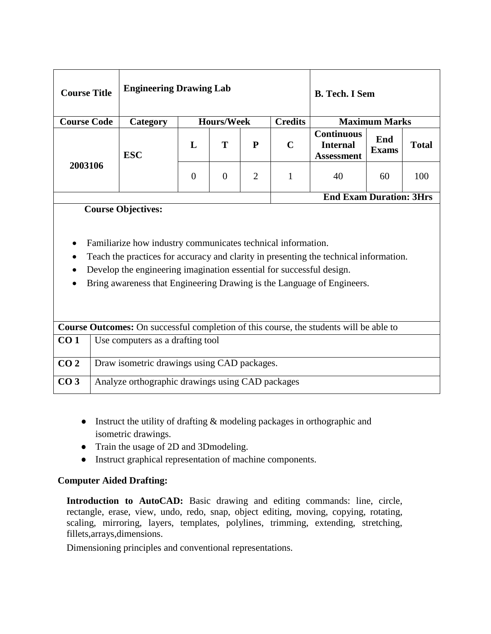| <b>Course Title</b> | <b>Engineering Drawing Lab</b> |                      |   |   |             | <b>B.</b> Tech. I Sem                                     |                     |              |
|---------------------|--------------------------------|----------------------|---|---|-------------|-----------------------------------------------------------|---------------------|--------------|
| <b>Course Code</b>  | Category                       | <b>Maximum Marks</b> |   |   |             |                                                           |                     |              |
|                     | <b>ESC</b>                     | L                    | Т | P | $\mathbf C$ | <b>Continuous</b><br><b>Internal</b><br><b>Assessment</b> | End<br><b>Exams</b> | <b>Total</b> |
| 2003106             |                                | $\overline{0}$       | 0 | 2 |             | 40                                                        | 60                  | 100          |
|                     |                                |                      |   |   |             | <b>End Exam Duration: 3Hrs</b>                            |                     |              |

## **Course Objectives:**

- Familiarize how industry communicates technical information.
- Teach the practices for accuracy and clarity in presenting the technical information.
- Develop the engineering imagination essential for successful design.
- Bring awareness that Engineering Drawing is the Language of Engineers.

|                 | <b>Course Outcomes:</b> On successful completion of this course, the students will be able to |
|-----------------|-----------------------------------------------------------------------------------------------|
| CO <sub>1</sub> | Use computers as a drafting tool                                                              |
| CO <sub>2</sub> | Draw isometric drawings using CAD packages.                                                   |
| CO <sub>3</sub> | Analyze orthographic drawings using CAD packages                                              |

- Instruct the utility of drafting  $&$  modeling packages in orthographic and isometric drawings.
- Train the usage of 2D and 3Dmodeling.
- Instruct graphical representation of machine components.

## **Computer Aided Drafting:**

**Introduction to AutoCAD:** Basic drawing and editing commands: line, circle, rectangle, erase, view, undo, redo, snap, object editing, moving, copying, rotating, scaling, mirroring, layers, templates, polylines, trimming, extending, stretching, fillets,arrays,dimensions.

Dimensioning principles and conventional representations.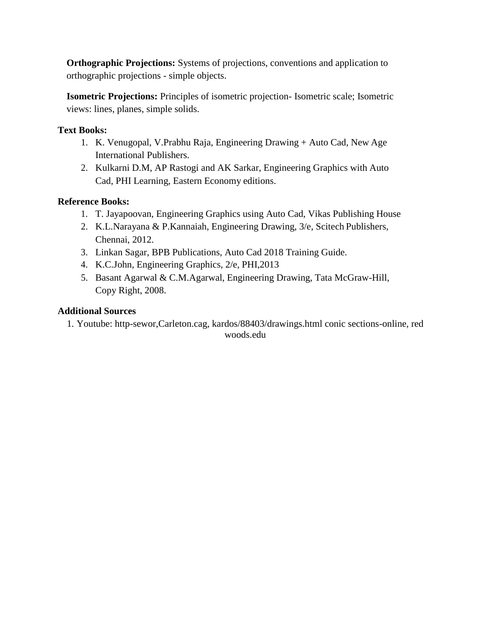**Orthographic Projections:** Systems of projections, conventions and application to orthographic projections - simple objects.

**Isometric Projections:** Principles of isometric projection- Isometric scale; Isometric views: lines, planes, simple solids.

# **Text Books:**

- 1. K. Venugopal, V.Prabhu Raja, Engineering Drawing + Auto Cad, New Age International Publishers.
- 2. Kulkarni D.M, AP Rastogi and AK Sarkar, Engineering Graphics with Auto Cad, PHI Learning, Eastern Economy editions.

## **Reference Books:**

- 1. T. Jayapoovan, Engineering Graphics using Auto Cad, Vikas Publishing House
- 2. K.L.Narayana & P.Kannaiah, Engineering Drawing, 3/e, Scitech Publishers, Chennai, 2012.
- 3. Linkan Sagar, BPB Publications, Auto Cad 2018 Training Guide.
- 4. K.C.John, Engineering Graphics, 2/e, PHI,2013
- 5. Basant Agarwal & C.M.Agarwal, Engineering Drawing, Tata McGraw-Hill, Copy Right, 2008.

## **Additional Sources**

1. Youtube: http-sewor,Carleton.cag, kardos/88403/drawings.html conic sections-online, red woods.edu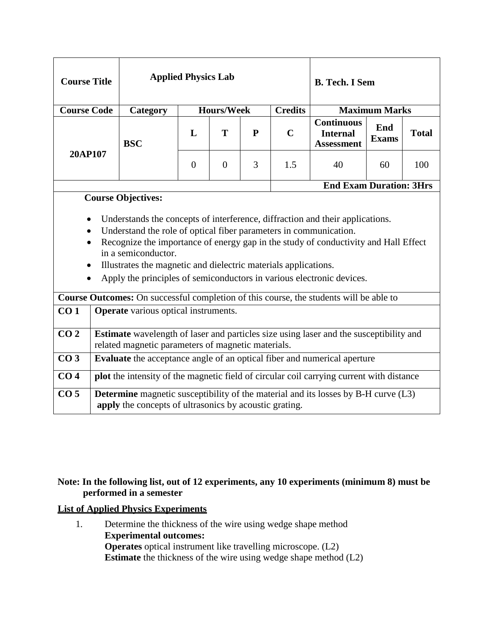| <b>Course Title</b>                 |                                                                                                                                                     |                                                                                                                                                                                                                                                                                                                                                                                                                                                                                                        | <b>Applied Physics Lab</b> |                   |   |                | <b>B. Tech. I Sem</b>                                     |                                     |     |  |  |  |  |
|-------------------------------------|-----------------------------------------------------------------------------------------------------------------------------------------------------|--------------------------------------------------------------------------------------------------------------------------------------------------------------------------------------------------------------------------------------------------------------------------------------------------------------------------------------------------------------------------------------------------------------------------------------------------------------------------------------------------------|----------------------------|-------------------|---|----------------|-----------------------------------------------------------|-------------------------------------|-----|--|--|--|--|
| <b>Course Code</b>                  |                                                                                                                                                     | Category                                                                                                                                                                                                                                                                                                                                                                                                                                                                                               |                            | <b>Hours/Week</b> |   | <b>Credits</b> |                                                           | <b>Maximum Marks</b>                |     |  |  |  |  |
|                                     |                                                                                                                                                     | <b>BSC</b>                                                                                                                                                                                                                                                                                                                                                                                                                                                                                             | L                          | T                 | P | $\mathbf C$    | <b>Continuous</b><br><b>Internal</b><br><b>Assessment</b> | End<br><b>Total</b><br><b>Exams</b> |     |  |  |  |  |
| 20AP107                             |                                                                                                                                                     |                                                                                                                                                                                                                                                                                                                                                                                                                                                                                                        | $\boldsymbol{0}$           | $\overline{0}$    | 3 | 1.5            | 40                                                        | 60                                  | 100 |  |  |  |  |
|                                     |                                                                                                                                                     | <b>End Exam Duration: 3Hrs</b><br><b>Course Objectives:</b>                                                                                                                                                                                                                                                                                                                                                                                                                                            |                            |                   |   |                |                                                           |                                     |     |  |  |  |  |
| $\bullet$<br>$\bullet$<br>$\bullet$ |                                                                                                                                                     | Understands the concepts of interference, diffraction and their applications.<br>Understand the role of optical fiber parameters in communication.<br>Recognize the importance of energy gap in the study of conductivity and Hall Effect<br>in a semiconductor.<br>Illustrates the magnetic and dielectric materials applications.<br>Apply the principles of semiconductors in various electronic devices.<br>Course Outcomes: On successful completion of this course, the students will be able to |                            |                   |   |                |                                                           |                                     |     |  |  |  |  |
| CO <sub>1</sub>                     |                                                                                                                                                     |                                                                                                                                                                                                                                                                                                                                                                                                                                                                                                        |                            |                   |   |                |                                                           |                                     |     |  |  |  |  |
|                                     |                                                                                                                                                     | <b>Operate</b> various optical instruments.                                                                                                                                                                                                                                                                                                                                                                                                                                                            |                            |                   |   |                |                                                           |                                     |     |  |  |  |  |
| $\overline{CO2}$                    | <b>Estimate</b> wavelength of laser and particles size using laser and the susceptibility and<br>related magnetic parameters of magnetic materials. |                                                                                                                                                                                                                                                                                                                                                                                                                                                                                                        |                            |                   |   |                |                                                           |                                     |     |  |  |  |  |
| CO <sub>3</sub>                     |                                                                                                                                                     | Evaluate the acceptance angle of an optical fiber and numerical aperture                                                                                                                                                                                                                                                                                                                                                                                                                               |                            |                   |   |                |                                                           |                                     |     |  |  |  |  |
| CO <sub>4</sub>                     |                                                                                                                                                     | plot the intensity of the magnetic field of circular coil carrying current with distance                                                                                                                                                                                                                                                                                                                                                                                                               |                            |                   |   |                |                                                           |                                     |     |  |  |  |  |
| CO <sub>5</sub>                     |                                                                                                                                                     | <b>Determine</b> magnetic susceptibility of the material and its losses by B-H curve (L3)<br>apply the concepts of ultrasonics by acoustic grating.                                                                                                                                                                                                                                                                                                                                                    |                            |                   |   |                |                                                           |                                     |     |  |  |  |  |

## **Note: In the following list, out of 12 experiments, any 10 experiments (minimum 8) must be performed in a semester**

## **List of Applied Physics Experiments**

1. Determine the thickness of the wire using wedge shape method **Experimental outcomes: Operates** optical instrument like travelling microscope. (L2) **Estimate** the thickness of the wire using wedge shape method (L2)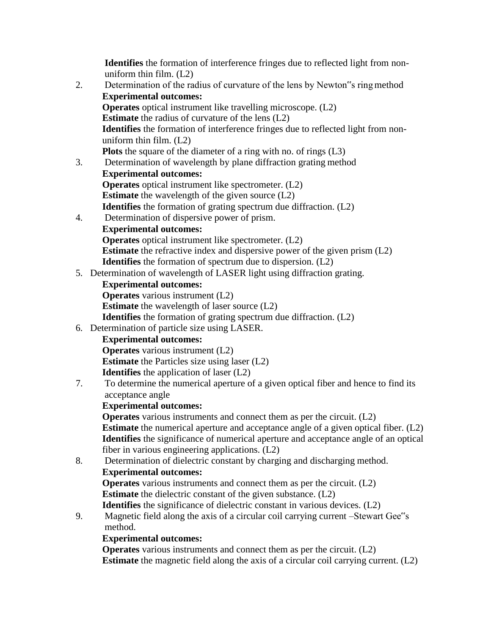**Identifies** the formation of interference fringes due to reflected light from nonuniform thin film. (L2)

- 2. Determination of the radius of curvature of the lens by Newton"s ringmethod **Experimental outcomes: Operates** optical instrument like travelling microscope. (L2) **Estimate** the radius of curvature of the lens (L2) **Identifies** the formation of interference fringes due to reflected light from nonuniform thin film. (L2) **Plots** the square of the diameter of a ring with no. of rings (L3) 3. Determination of wavelength by plane diffraction grating method **Experimental outcomes: Operates** optical instrument like spectrometer. (L2) **Estimate** the wavelength of the given source (L2) **Identifies** the formation of grating spectrum due diffraction. (L2) 4. Determination of dispersive power of prism. **Experimental outcomes: Operates** optical instrument like spectrometer. (L2) **Estimate** the refractive index and dispersive power of the given prism (L2) **Identifies** the formation of spectrum due to dispersion. (L2) 5. Determination of wavelength of LASER light using diffraction grating. **Experimental outcomes: Operates** various instrument (L2) **Estimate** the wavelength of laser source (L2) **Identifies** the formation of grating spectrum due diffraction. (L2) 6. Determination of particle size using LASER. **Experimental outcomes: Operates** various instrument (L2) **Estimate** the Particles size using laser (L2) **Identifies** the application of laser (L2) 7. To determine the numerical aperture of a given optical fiber and hence to find its acceptance angle **Experimental outcomes: Operates** various instruments and connect them as per the circuit. (L2) **Estimate** the numerical aperture and acceptance angle of a given optical fiber. (L2) **Identifies** the significance of numerical aperture and acceptance angle of an optical fiber in various engineering applications. (L2) 8. Determination of dielectric constant by charging and discharging method. **Experimental outcomes: Operates** various instruments and connect them as per the circuit. (L2) **Estimate** the dielectric constant of the given substance. (L2) **Identifies** the significance of dielectric constant in various devices. (L2)
- 9. Magnetic field along the axis of a circular coil carrying current –Stewart Gee"s method.

## **Experimental outcomes:**

**Operates** various instruments and connect them as per the circuit. (L2) **Estimate** the magnetic field along the axis of a circular coil carrying current. (L2)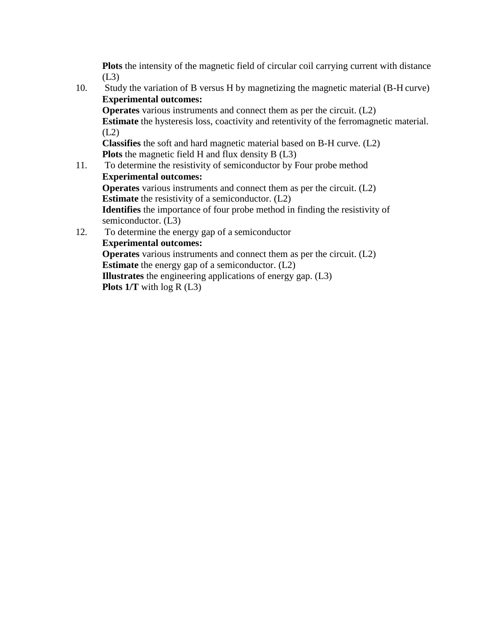**Plots** the intensity of the magnetic field of circular coil carrying current with distance  $(L3)$ 

10. Study the variation of B versus H by magnetizing the magnetic material (B-H curve) **Experimental outcomes: Operates** various instruments and connect them as per the circuit. (L2) **Estimate** the hysteresis loss, coactivity and retentivity of the ferromagnetic material.  $(L2)$ **Classifies** the soft and hard magnetic material based on B-H curve. (L2) **Plots** the magnetic field H and flux density B (L3) 11. To determine the resistivity of semiconductor by Four probe method **Experimental outcomes: Operates** various instruments and connect them as per the circuit. (L2) **Estimate** the resistivity of a semiconductor. (L2) **Identifies** the importance of four probe method in finding the resistivity of

semiconductor. (L3) 12. To determine the energy gap of a semiconductor **Experimental outcomes: Operates** various instruments and connect them as per the circuit. (L2) **Estimate** the energy gap of a semiconductor. (L2) **Illustrates** the engineering applications of energy gap. (L3) **Plots 1/T** with log R (L3)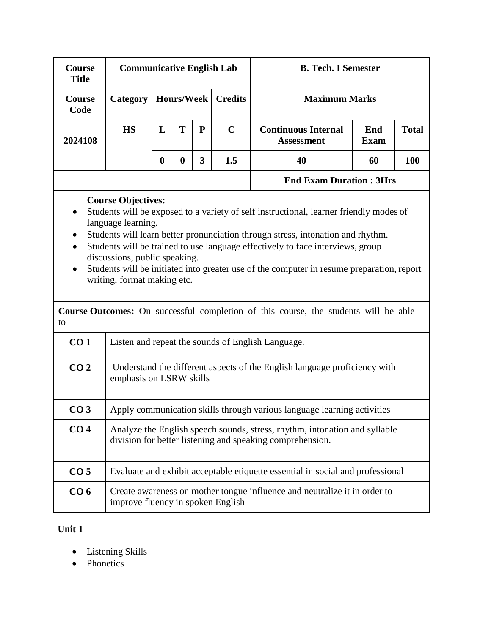| Course<br><b>Title</b>                    | <b>Communicative English Lab</b>                                                                                |                  |                   |                         |                | <b>B. Tech. I Semester</b>                                                                                                                                                                                                                                                                                                                                                                                                                      |                    |              |  |  |  |  |
|-------------------------------------------|-----------------------------------------------------------------------------------------------------------------|------------------|-------------------|-------------------------|----------------|-------------------------------------------------------------------------------------------------------------------------------------------------------------------------------------------------------------------------------------------------------------------------------------------------------------------------------------------------------------------------------------------------------------------------------------------------|--------------------|--------------|--|--|--|--|
| Course<br>Code                            | Category                                                                                                        |                  | <b>Hours/Week</b> |                         | <b>Credits</b> | <b>Maximum Marks</b>                                                                                                                                                                                                                                                                                                                                                                                                                            |                    |              |  |  |  |  |
| 2024108                                   | <b>HS</b>                                                                                                       | L                | T                 | ${\bf P}$               | $\mathbf C$    | <b>Continuous Internal</b><br><b>Assessment</b>                                                                                                                                                                                                                                                                                                                                                                                                 | End<br><b>Exam</b> | <b>Total</b> |  |  |  |  |
|                                           |                                                                                                                 | $\boldsymbol{0}$ | $\boldsymbol{0}$  | $\overline{\mathbf{3}}$ | 1.5            | 40                                                                                                                                                                                                                                                                                                                                                                                                                                              | 60                 | 100          |  |  |  |  |
|                                           |                                                                                                                 |                  |                   |                         |                | <b>End Exam Duration: 3Hrs</b>                                                                                                                                                                                                                                                                                                                                                                                                                  |                    |              |  |  |  |  |
| $\bullet$<br>$\bullet$<br>$\bullet$<br>to | <b>Course Objectives:</b><br>language learning.<br>discussions, public speaking.<br>writing, format making etc. |                  |                   |                         |                | Students will be exposed to a variety of self instructional, learner friendly modes of<br>Students will learn better pronunciation through stress, intonation and rhythm.<br>Students will be trained to use language effectively to face interviews, group<br>Students will be initiated into greater use of the computer in resume preparation, report<br>Course Outcomes: On successful completion of this course, the students will be able |                    |              |  |  |  |  |
| CO <sub>1</sub>                           |                                                                                                                 |                  |                   |                         |                | Listen and repeat the sounds of English Language.                                                                                                                                                                                                                                                                                                                                                                                               |                    |              |  |  |  |  |
| CO <sub>2</sub>                           | emphasis on LSRW skills                                                                                         |                  |                   |                         |                | Understand the different aspects of the English language proficiency with                                                                                                                                                                                                                                                                                                                                                                       |                    |              |  |  |  |  |
| CO <sub>3</sub>                           |                                                                                                                 |                  |                   |                         |                | Apply communication skills through various language learning activities                                                                                                                                                                                                                                                                                                                                                                         |                    |              |  |  |  |  |
| CO <sub>4</sub>                           | division for better listening and speaking comprehension.                                                       |                  |                   |                         |                | Analyze the English speech sounds, stress, rhythm, intonation and syllable                                                                                                                                                                                                                                                                                                                                                                      |                    |              |  |  |  |  |
| CO <sub>5</sub>                           |                                                                                                                 |                  |                   |                         |                | Evaluate and exhibit acceptable etiquette essential in social and professional                                                                                                                                                                                                                                                                                                                                                                  |                    |              |  |  |  |  |
| CO <sub>6</sub>                           | improve fluency in spoken English                                                                               |                  |                   |                         |                | Create awareness on mother tongue influence and neutralize it in order to                                                                                                                                                                                                                                                                                                                                                                       |                    |              |  |  |  |  |

# **Unit 1**

- Listening Skills
- Phonetics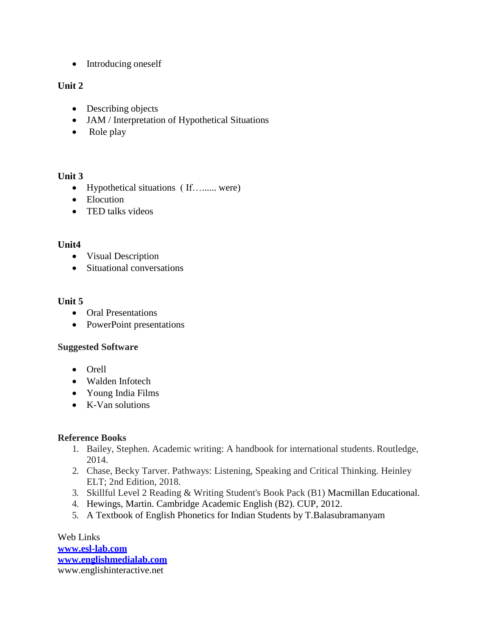• Introducing oneself

## **Unit 2**

- Describing objects
- JAM / Interpretation of Hypothetical Situations
- Role play

### **Unit 3**

- Hypothetical situations (If…...... were)
- Elocution
- TED talks videos

## **Unit4**

- Visual Description
- Situational conversations

## **Unit 5**

- Oral Presentations
- PowerPoint presentations

#### **Suggested Software**

- Orell
- Walden Infotech
- Young India Films
- K-Van solutions

## **Reference Books**

- 1. Bailey, Stephen. Academic writing: A handbook for international students. Routledge, 2014.
- 2. Chase, Becky Tarver. Pathways: Listening, Speaking and Critical Thinking. Heinley ELT; 2nd Edition, 2018.
- 3. Skillful Level 2 Reading & Writing Student's Book Pack (B1) Macmillan Educational.
- 4. Hewings, Martin. Cambridge Academic English (B2). CUP, 2012.
- 5. A Textbook of English Phonetics for Indian Students by T.Balasubramanyam

Web Links **[www.esl-lab.com](http://www.esl-lab.com/) [www.englishmedialab.com](http://www.englishmedialab.com/)** [www.englishinteractive.net](http://www.englishinteractive.net/)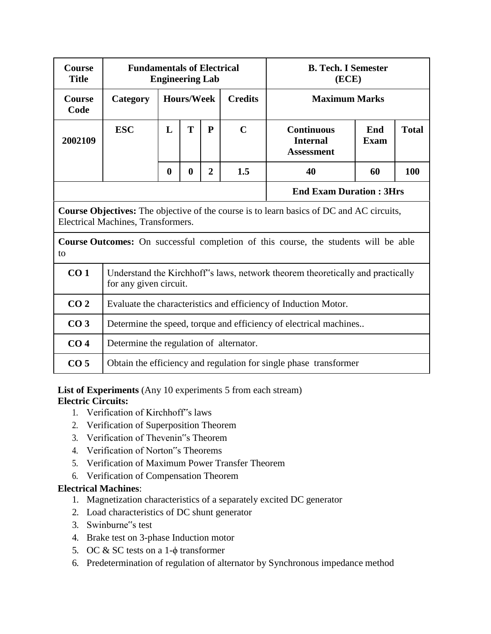| <b>Course</b><br><b>Title</b>                                                                                                         | <b>Fundamentals of Electrical</b>       | <b>Engineering Lab</b>                                            |                   |                                                           |                    | <b>B. Tech. I Semester</b><br>(ECE)                                                        |    |     |  |
|---------------------------------------------------------------------------------------------------------------------------------------|-----------------------------------------|-------------------------------------------------------------------|-------------------|-----------------------------------------------------------|--------------------|--------------------------------------------------------------------------------------------|----|-----|--|
| <b>Course</b><br>Code                                                                                                                 | Category                                |                                                                   | <b>Hours/Week</b> |                                                           | <b>Credits</b>     | <b>Maximum Marks</b>                                                                       |    |     |  |
| 2002109                                                                                                                               | <b>ESC</b>                              | T<br>${\bf P}$<br>L<br>$\mathbf C$                                |                   | <b>Continuous</b><br><b>Internal</b><br><b>Assessment</b> | End<br><b>Exam</b> | <b>Total</b>                                                                               |    |     |  |
|                                                                                                                                       |                                         | $\boldsymbol{0}$                                                  | $\bf{0}$          | $\overline{2}$                                            | 1.5                | 40                                                                                         | 60 | 100 |  |
|                                                                                                                                       |                                         |                                                                   |                   |                                                           |                    | <b>End Exam Duration: 3Hrs</b>                                                             |    |     |  |
| <b>Course Objectives:</b> The objective of the course is to learn basics of DC and AC circuits,<br>Electrical Machines, Transformers. |                                         |                                                                   |                   |                                                           |                    |                                                                                            |    |     |  |
| to                                                                                                                                    |                                         |                                                                   |                   |                                                           |                    | <b>Course Outcomes:</b> On successful completion of this course, the students will be able |    |     |  |
| CO <sub>1</sub>                                                                                                                       | for any given circuit.                  |                                                                   |                   |                                                           |                    | Understand the Kirchhoff's laws, network theorem theoretically and practically             |    |     |  |
| CO <sub>2</sub>                                                                                                                       |                                         |                                                                   |                   |                                                           |                    | Evaluate the characteristics and efficiency of Induction Motor.                            |    |     |  |
| CO <sub>3</sub>                                                                                                                       |                                         | Determine the speed, torque and efficiency of electrical machines |                   |                                                           |                    |                                                                                            |    |     |  |
| CO <sub>4</sub>                                                                                                                       | Determine the regulation of alternator. |                                                                   |                   |                                                           |                    |                                                                                            |    |     |  |
| CO <sub>5</sub>                                                                                                                       |                                         |                                                                   |                   |                                                           |                    | Obtain the efficiency and regulation for single phase transformer                          |    |     |  |

List of Experiments (Any 10 experiments 5 from each stream) **Electric Circuits:**

- 1. Verification of Kirchhoff"s laws
- 2. Verification of Superposition Theorem
- 3. Verification of Thevenin"s Theorem
- 4. Verification of Norton"s Theorems
- 5. Verification of Maximum Power Transfer Theorem
- 6. Verification of Compensation Theorem

## **Electrical Machines**:

- 1. Magnetization characteristics of a separately excited DC generator
- 2. Load characteristics of DC shunt generator
- 3. Swinburne"s test
- 4. Brake test on 3-phase Induction motor
- 5. OC  $&$  SC tests on a 1- $\phi$  transformer
- 6. Predetermination of regulation of alternator by Synchronous impedance method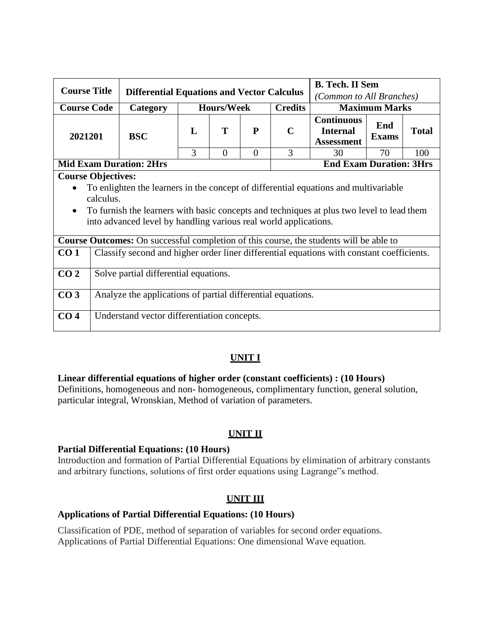| <b>Course Title</b>    |                                                                                                                                                                                                                                                                                                 |                                                                                               |                |                   | <b>B. Tech. II Sem</b> |                |                                                           |                     |              |  |
|------------------------|-------------------------------------------------------------------------------------------------------------------------------------------------------------------------------------------------------------------------------------------------------------------------------------------------|-----------------------------------------------------------------------------------------------|----------------|-------------------|------------------------|----------------|-----------------------------------------------------------|---------------------|--------------|--|
|                        |                                                                                                                                                                                                                                                                                                 | <b>Differential Equations and Vector Calculus</b>                                             |                |                   |                        |                | (Common to All Branches)                                  |                     |              |  |
| <b>Course Code</b>     |                                                                                                                                                                                                                                                                                                 | Category                                                                                      |                | <b>Hours/Week</b> |                        | <b>Credits</b> | <b>Maximum Marks</b>                                      |                     |              |  |
| 2021201                |                                                                                                                                                                                                                                                                                                 | <b>BSC</b>                                                                                    | $\mathbf{L}$   | T                 | P                      | $\mathbf C$    | <b>Continuous</b><br><b>Internal</b><br><b>Assessment</b> | End<br><b>Exams</b> | <b>Total</b> |  |
|                        |                                                                                                                                                                                                                                                                                                 | 3                                                                                             | $\overline{0}$ | $\overline{0}$    | 3                      | 30             | 70                                                        | 100                 |              |  |
|                        | <b>Mid Exam Duration: 2Hrs</b><br><b>End Exam Duration: 3Hrs</b>                                                                                                                                                                                                                                |                                                                                               |                |                   |                        |                |                                                           |                     |              |  |
| $\bullet$<br>$\bullet$ | <b>Course Objectives:</b><br>To enlighten the learners in the concept of differential equations and multivariable<br>calculus.<br>To furnish the learners with basic concepts and techniques at plus two level to lead them<br>into advanced level by handling various real world applications. |                                                                                               |                |                   |                        |                |                                                           |                     |              |  |
|                        |                                                                                                                                                                                                                                                                                                 | <b>Course Outcomes:</b> On successful completion of this course, the students will be able to |                |                   |                        |                |                                                           |                     |              |  |
| CO <sub>1</sub>        |                                                                                                                                                                                                                                                                                                 | Classify second and higher order liner differential equations with constant coefficients.     |                |                   |                        |                |                                                           |                     |              |  |
| CO <sub>2</sub>        |                                                                                                                                                                                                                                                                                                 | Solve partial differential equations.                                                         |                |                   |                        |                |                                                           |                     |              |  |
| CO <sub>3</sub>        |                                                                                                                                                                                                                                                                                                 | Analyze the applications of partial differential equations.                                   |                |                   |                        |                |                                                           |                     |              |  |
| CO <sub>4</sub>        |                                                                                                                                                                                                                                                                                                 | Understand vector differentiation concepts.                                                   |                |                   |                        |                |                                                           |                     |              |  |

# **UNIT I**

#### **Linear differential equations of higher order (constant coefficients) : (10 Hours)**

Definitions, homogeneous and non- homogeneous, complimentary function, general solution, particular integral, Wronskian, Method of variation of parameters.

## **UNIT II**

#### **Partial Differential Equations: (10 Hours)**

Introduction and formation of Partial Differential Equations by elimination of arbitrary constants and arbitrary functions, solutions of first order equations using Lagrange"s method.

## **UNIT III**

#### **Applications of Partial Differential Equations: (10 Hours)**

Classification of PDE, method of separation of variables for second order equations. Applications of Partial Differential Equations: One dimensional Wave equation.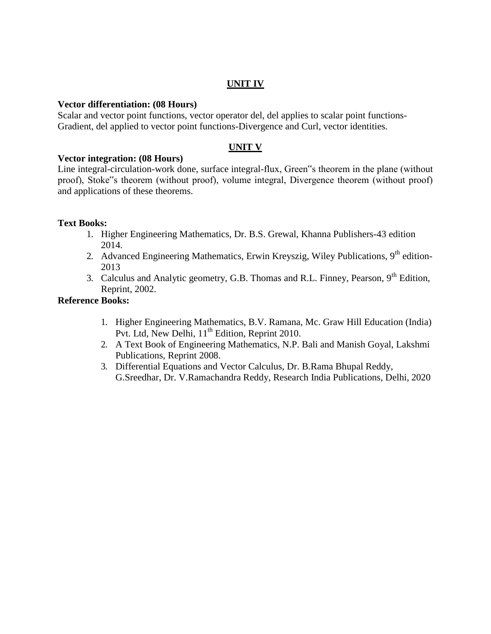### **UNIT IV**

#### **Vector differentiation: (08 Hours)**

Scalar and vector point functions, vector operator del, del applies to scalar point functions-Gradient, del applied to vector point functions-Divergence and Curl, vector identities.

## **UNIT V**

#### **Vector integration: (08 Hours)**

Line integral-circulation-work done, surface integral-flux, Green"s theorem in the plane (without proof), Stoke"s theorem (without proof), volume integral, Divergence theorem (without proof) and applications of these theorems.

#### **Text Books:**

- 1. Higher Engineering Mathematics, Dr. B.S. Grewal, Khanna Publishers-43 edition 2014.
- 2. Advanced Engineering Mathematics, Erwin Kreyszig, Wiley Publications, 9<sup>th</sup> edition-2013
- 3. Calculus and Analytic geometry, G.B. Thomas and R.L. Finney, Pearson, 9<sup>th</sup> Edition, Reprint, 2002.

### **Reference Books:**

- 1. Higher Engineering Mathematics, B.V. Ramana, Mc. Graw Hill Education (India) Pvt. Ltd, New Delhi,  $11<sup>th</sup>$  Edition, Reprint 2010.
- 2. A Text Book of Engineering Mathematics, N.P. Bali and Manish Goyal, Lakshmi Publications, Reprint 2008.
- 3. Differential Equations and Vector Calculus, Dr. B.Rama Bhupal Reddy, G.Sreedhar, Dr. V.Ramachandra Reddy, Research India Publications, Delhi, 2020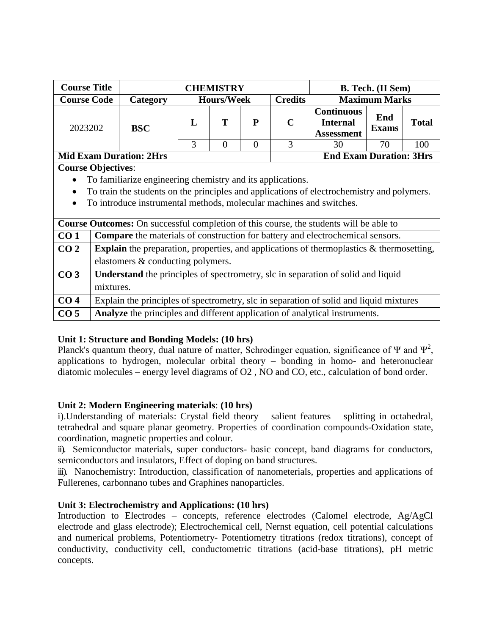| <b>Course Title</b>                                                                           |                                                                                             |                                                                                            |   | <b>CHEMISTRY</b>  |          | <b>B. Tech.</b> (II Sem) |                                                           |                      |              |
|-----------------------------------------------------------------------------------------------|---------------------------------------------------------------------------------------------|--------------------------------------------------------------------------------------------|---|-------------------|----------|--------------------------|-----------------------------------------------------------|----------------------|--------------|
| <b>Course Code</b>                                                                            |                                                                                             | Category                                                                                   |   | <b>Hours/Week</b> |          | <b>Credits</b>           |                                                           | <b>Maximum Marks</b> |              |
| 2023202                                                                                       |                                                                                             | <b>BSC</b>                                                                                 | L | Т                 | P        | $\mathbf C$              | <b>Continuous</b><br><b>Internal</b><br><b>Assessment</b> | End<br><b>Exams</b>  | <b>Total</b> |
|                                                                                               |                                                                                             |                                                                                            | 3 | $\Omega$          | $\Omega$ | $\mathcal{F}$            | 30                                                        | 70                   | 100          |
| <b>End Exam Duration: 3Hrs</b><br><b>Mid Exam Duration: 2Hrs</b>                              |                                                                                             |                                                                                            |   |                   |          |                          |                                                           |                      |              |
|                                                                                               | <b>Course Objectives:</b>                                                                   |                                                                                            |   |                   |          |                          |                                                           |                      |              |
|                                                                                               |                                                                                             | To familiarize engineering chemistry and its applications.                                 |   |                   |          |                          |                                                           |                      |              |
| $\bullet$                                                                                     |                                                                                             | To train the students on the principles and applications of electrochemistry and polymers. |   |                   |          |                          |                                                           |                      |              |
| $\bullet$                                                                                     | To introduce instrumental methods, molecular machines and switches.                         |                                                                                            |   |                   |          |                          |                                                           |                      |              |
| <b>Course Outcomes:</b> On successful completion of this course, the students will be able to |                                                                                             |                                                                                            |   |                   |          |                          |                                                           |                      |              |
| CO <sub>1</sub>                                                                               |                                                                                             | <b>Compare</b> the materials of construction for battery and electrochemical sensors.      |   |                   |          |                          |                                                           |                      |              |
| CO <sub>2</sub>                                                                               | Explain the preparation, properties, and applications of thermoplastics $\&$ thermosetting, |                                                                                            |   |                   |          |                          |                                                           |                      |              |

|                 | <b>Course Outcomes:</b> On successful completion of this course, the students will be able to      |
|-----------------|----------------------------------------------------------------------------------------------------|
| CO <sub>1</sub> | <b>Compare</b> the materials of construction for battery and electrochemical sensors.              |
| CO <sub>2</sub> | <b>Explain</b> the preparation, properties, and applications of thermoplastics $\&$ thermosetting, |
|                 | elastomers & conducting polymers.                                                                  |
| CO <sub>3</sub> | <b>Understand</b> the principles of spectrometry, slc in separation of solid and liquid            |
|                 | mixtures.                                                                                          |
| CO <sub>4</sub> | Explain the principles of spectrometry, slc in separation of solid and liquid mixtures             |
| CO <sub>5</sub> | Analyze the principles and different application of analytical instruments.                        |

## **Unit 1: Structure and Bonding Models: (10 hrs)**

Planck's quantum theory, dual nature of matter, Schrodinger equation, significance of  $\Psi$  and  $\Psi^2$ , applications to hydrogen, molecular orbital theory – bonding in homo- and heteronuclear diatomic molecules – energy level diagrams of O2 , NO and CO, etc., calculation of bond order.

# **Unit 2: Modern Engineering materials**: **(10 hrs)**

i).Understanding of materials: Crystal field theory – salient features – splitting in octahedral, tetrahedral and square planar geometry. Properties of coordination compounds-Oxidation state, coordination, magnetic properties and colour.

ii). Semiconductor materials, super conductors- basic concept, band diagrams for conductors, semiconductors and insulators, Effect of doping on band structures.

iii). Nanochemistry: Introduction, classification of nanometerials, properties and applications of Fullerenes, carbonnano tubes and Graphines nanoparticles.

# **Unit 3: Electrochemistry and Applications: (10 hrs)**

Introduction to Electrodes – concepts, reference electrodes (Calomel electrode, Ag/AgCl electrode and glass electrode); Electrochemical cell, Nernst equation, cell potential calculations and numerical problems, Potentiometry- Potentiometry titrations (redox titrations), concept of conductivity, conductivity cell, conductometric titrations (acid-base titrations), pH metric concepts.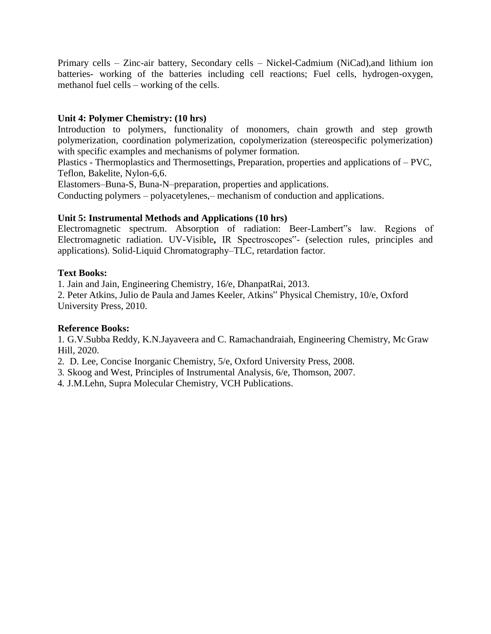Primary cells – Zinc-air battery, Secondary cells – Nickel-Cadmium (NiCad),and lithium ion batteries- working of the batteries including cell reactions; Fuel cells, hydrogen-oxygen, methanol fuel cells – working of the cells.

## **Unit 4: Polymer Chemistry: (10 hrs)**

Introduction to polymers, functionality of monomers, chain growth and step growth polymerization, coordination polymerization, copolymerization (stereospecific polymerization) with specific examples and mechanisms of polymer formation.

Plastics - Thermoplastics and Thermosettings, Preparation, properties and applications of – PVC, Teflon, Bakelite, Nylon-6,6.

Elastomers–Buna-S, Buna-N–preparation, properties and applications.

Conducting polymers – polyacetylenes,– mechanism of conduction and applications.

### **Unit 5: Instrumental Methods and Applications (10 hrs)**

Electromagnetic spectrum. Absorption of radiation: Beer-Lambert"s law. Regions of Electromagnetic radiation. UV-Visible**,** IR Spectroscopes"- (selection rules, principles and applications). Solid-Liquid Chromatography–TLC, retardation factor.

### **Text Books:**

1. Jain and Jain, Engineering Chemistry, 16/e, DhanpatRai, 2013.

2. Peter Atkins, Julio de Paula and James Keeler, Atkins" Physical Chemistry, 10/e, Oxford University Press, 2010.

#### **Reference Books:**

1. G.V.Subba Reddy, K.N.Jayaveera and C. Ramachandraiah, Engineering Chemistry, Mc Graw Hill, 2020.

2. D. Lee, Concise Inorganic Chemistry, 5/e, Oxford University Press, 2008.

3. Skoog and West, Principles of Instrumental Analysis, 6/e, Thomson, 2007.

4. J.M.Lehn, Supra Molecular Chemistry, VCH Publications.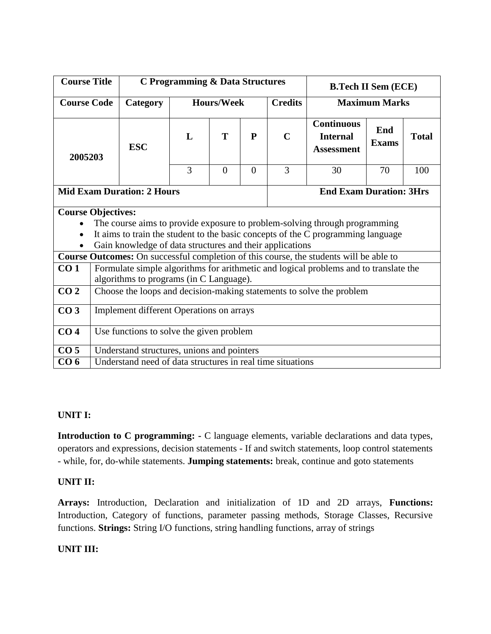| <b>Course Title</b>       |                                                            | C Programming & Data Structures |                   |                                |                |                                                                                      | <b>B.Tech II Sem (ECE)</b>                                                             |              |  |  |
|---------------------------|------------------------------------------------------------|---------------------------------|-------------------|--------------------------------|----------------|--------------------------------------------------------------------------------------|----------------------------------------------------------------------------------------|--------------|--|--|
| <b>Course Code</b>        | Category                                                   |                                 | <b>Hours/Week</b> |                                | <b>Credits</b> |                                                                                      | <b>Maximum Marks</b>                                                                   |              |  |  |
| 2005203                   | <b>ESC</b>                                                 | L                               | T<br>$\mathbf{P}$ |                                | $\mathbf C$    | <b>Continuous</b><br><b>Internal</b><br><b>Assessment</b>                            | End<br><b>Exams</b>                                                                    | <b>Total</b> |  |  |
|                           |                                                            | 3                               | $\overline{0}$    | $\Omega$                       | 3              | 30                                                                                   | 70                                                                                     | 100          |  |  |
|                           | <b>Mid Exam Duration: 2 Hours</b>                          |                                 |                   | <b>End Exam Duration: 3Hrs</b> |                |                                                                                      |                                                                                        |              |  |  |
| <b>Course Objectives:</b> |                                                            |                                 |                   |                                |                |                                                                                      |                                                                                        |              |  |  |
|                           |                                                            |                                 |                   |                                |                | The course aims to provide exposure to problem-solving through programming           |                                                                                        |              |  |  |
|                           |                                                            |                                 |                   |                                |                | It aims to train the student to the basic concepts of the C programming language     |                                                                                        |              |  |  |
| $\bullet$                 | Gain knowledge of data structures and their applications   |                                 |                   |                                |                |                                                                                      |                                                                                        |              |  |  |
|                           |                                                            |                                 |                   |                                |                |                                                                                      | Course Outcomes: On successful completion of this course, the students will be able to |              |  |  |
| CO <sub>1</sub>           | algorithms to programs (in C Language).                    |                                 |                   |                                |                | Formulate simple algorithms for arithmetic and logical problems and to translate the |                                                                                        |              |  |  |
| CO <sub>2</sub>           |                                                            |                                 |                   |                                |                | Choose the loops and decision-making statements to solve the problem                 |                                                                                        |              |  |  |
| CO <sub>3</sub>           | Implement different Operations on arrays                   |                                 |                   |                                |                |                                                                                      |                                                                                        |              |  |  |
| CO <sub>4</sub>           | Use functions to solve the given problem                   |                                 |                   |                                |                |                                                                                      |                                                                                        |              |  |  |
| CO <sub>5</sub>           | Understand structures, unions and pointers                 |                                 |                   |                                |                |                                                                                      |                                                                                        |              |  |  |
| CO <sub>6</sub>           | Understand need of data structures in real time situations |                                 |                   |                                |                |                                                                                      |                                                                                        |              |  |  |

#### **UNIT I:**

**Introduction to C programming: -** C language elements, variable declarations and data types, operators and expressions, decision statements - If and switch statements, loop control statements - while, for, do-while statements. **Jumping statements:** break, continue and goto statements

## **UNIT II:**

**Arrays:** Introduction, Declaration and initialization of 1D and 2D arrays, **Functions:**  Introduction, Category of functions, parameter passing methods, Storage Classes, Recursive functions. **Strings:** String I/O functions, string handling functions, array of strings

#### **UNIT III:**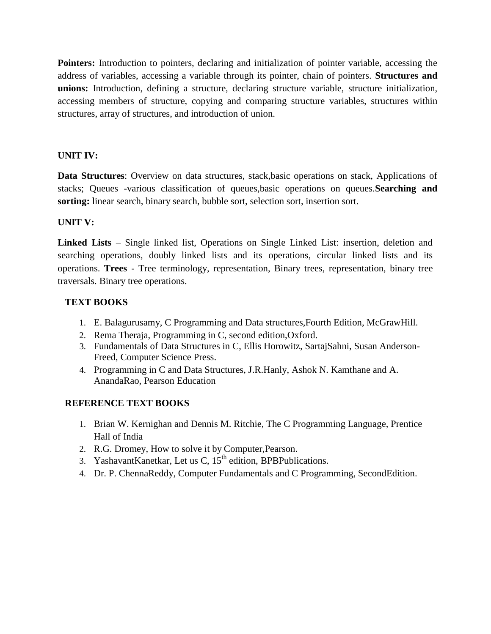**Pointers:** Introduction to pointers, declaring and initialization of pointer variable, accessing the address of variables, accessing a variable through its pointer, chain of pointers. **Structures and unions:** Introduction, defining a structure, declaring structure variable, structure initialization, accessing members of structure, copying and comparing structure variables, structures within structures, array of structures, and introduction of union.

## **UNIT IV:**

**Data Structures**: Overview on data structures, stack,basic operations on stack, Applications of stacks; Queues -various classification of queues,basic operations on queues.**Searching and sorting:** linear search, binary search, bubble sort, selection sort, insertion sort.

## **UNIT V:**

**Linked Lists** – Single linked list, Operations on Single Linked List: insertion, deletion and searching operations, doubly linked lists and its operations, circular linked lists and its operations. **Trees** - Tree terminology, representation, Binary trees, representation, binary tree traversals. Binary tree operations.

## **TEXT BOOKS**

- 1. E. Balagurusamy, C Programming and Data structures,Fourth Edition, McGrawHill.
- 2. Rema Theraja, Programming in C, second edition,Oxford.
- 3. Fundamentals of Data Structures in C, Ellis Horowitz, SartajSahni, Susan Anderson-Freed, Computer Science Press.
- 4. Programming in C and Data Structures, J.R.Hanly, Ashok N. Kamthane and A. AnandaRao, Pearson Education

## **REFERENCE TEXT BOOKS**

- 1. Brian W. Kernighan and Dennis M. Ritchie, The C Programming Language, Prentice Hall of India
- 2. R.G. Dromey, How to solve it by Computer,Pearson.
- 3. YashavantKanetkar, Let us C,  $15<sup>th</sup>$  edition, BPBPublications.
- 4. Dr. P. ChennaReddy, Computer Fundamentals and C Programming, SecondEdition.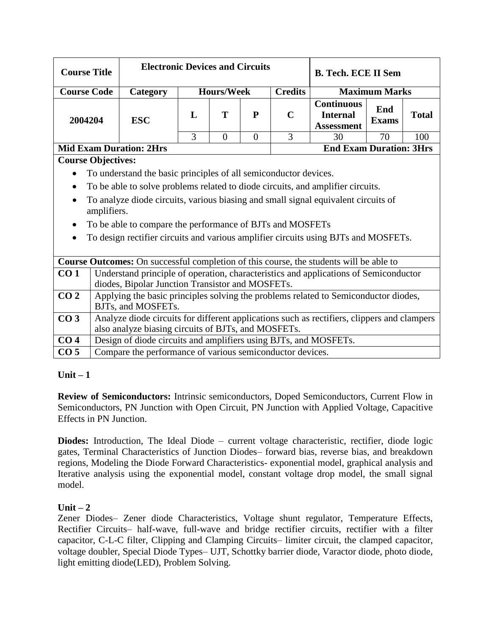| <b>Course Title</b> |                                                                                                                                                    |                                                                                                           | <b>Electronic Devices and Circuits</b><br><b>B. Tech. ECE II Sem</b> |                                     |          |             |                                                           |                      |              |
|---------------------|----------------------------------------------------------------------------------------------------------------------------------------------------|-----------------------------------------------------------------------------------------------------------|----------------------------------------------------------------------|-------------------------------------|----------|-------------|-----------------------------------------------------------|----------------------|--------------|
| <b>Course Code</b>  |                                                                                                                                                    | Category                                                                                                  |                                                                      | <b>Hours/Week</b><br><b>Credits</b> |          |             |                                                           | <b>Maximum Marks</b> |              |
| 2004204             |                                                                                                                                                    | <b>ESC</b>                                                                                                | L                                                                    | T                                   | P        | $\mathbf C$ | <b>Continuous</b><br><b>Internal</b><br><b>Assessment</b> | End<br><b>Exams</b>  | <b>Total</b> |
|                     |                                                                                                                                                    |                                                                                                           | 3                                                                    | $\Omega$                            | $\theta$ | 3           | 30                                                        | 70                   | 100          |
|                     |                                                                                                                                                    | <b>Mid Exam Duration: 2Hrs</b>                                                                            |                                                                      |                                     |          |             | <b>End Exam Duration: 3Hrs</b>                            |                      |              |
|                     | <b>Course Objectives:</b>                                                                                                                          |                                                                                                           |                                                                      |                                     |          |             |                                                           |                      |              |
| $\bullet$           | To understand the basic principles of all semiconductor devices.                                                                                   |                                                                                                           |                                                                      |                                     |          |             |                                                           |                      |              |
| $\bullet$           | To be able to solve problems related to diode circuits, and amplifier circuits.                                                                    |                                                                                                           |                                                                      |                                     |          |             |                                                           |                      |              |
|                     | To analyze diode circuits, various biasing and small signal equivalent circuits of<br>amplifiers.                                                  |                                                                                                           |                                                                      |                                     |          |             |                                                           |                      |              |
|                     |                                                                                                                                                    | To be able to compare the performance of BJTs and MOSFETs                                                 |                                                                      |                                     |          |             |                                                           |                      |              |
| $\bullet$           |                                                                                                                                                    | To design rectifier circuits and various amplifier circuits using BJTs and MOSFETs.                       |                                                                      |                                     |          |             |                                                           |                      |              |
|                     |                                                                                                                                                    | Course Outcomes: On successful completion of this course, the students will be able to                    |                                                                      |                                     |          |             |                                                           |                      |              |
| CO <sub>1</sub>     |                                                                                                                                                    | Understand principle of operation, characteristics and applications of Semiconductor                      |                                                                      |                                     |          |             |                                                           |                      |              |
|                     |                                                                                                                                                    | diodes, Bipolar Junction Transistor and MOSFETs.                                                          |                                                                      |                                     |          |             |                                                           |                      |              |
| CO <sub>2</sub>     |                                                                                                                                                    | Applying the basic principles solving the problems related to Semiconductor diodes,<br>BJTs, and MOSFETs. |                                                                      |                                     |          |             |                                                           |                      |              |
| CO <sub>3</sub>     | Analyze diode circuits for different applications such as rectifiers, clippers and clampers<br>also analyze biasing circuits of BJTs, and MOSFETs. |                                                                                                           |                                                                      |                                     |          |             |                                                           |                      |              |
| CO <sub>4</sub>     |                                                                                                                                                    | Design of diode circuits and amplifiers using BJTs, and MOSFETs.                                          |                                                                      |                                     |          |             |                                                           |                      |              |
| CO <sub>5</sub>     |                                                                                                                                                    | Compare the performance of various semiconductor devices.                                                 |                                                                      |                                     |          |             |                                                           |                      |              |

# **Unit – 1**

**Review of Semiconductors:** Intrinsic semiconductors, Doped Semiconductors, Current Flow in Semiconductors, PN Junction with Open Circuit, PN Junction with Applied Voltage, Capacitive Effects in PN Junction.

Diodes: Introduction, The Ideal Diode – current voltage characteristic, rectifier, diode logic gates, Terminal Characteristics of Junction Diodes– forward bias, reverse bias, and breakdown regions, Modeling the Diode Forward Characteristics- exponential model, graphical analysis and Iterative analysis using the exponential model, constant voltage drop model, the small signal model.

# $Unit - 2$

Zener Diodes– Zener diode Characteristics, Voltage shunt regulator, Temperature Effects, Rectifier Circuits– half-wave, full-wave and bridge rectifier circuits, rectifier with a filter capacitor, C-L-C filter, Clipping and Clamping Circuits– limiter circuit, the clamped capacitor, voltage doubler, Special Diode Types– UJT, Schottky barrier diode, Varactor diode, photo diode, light emitting diode(LED), Problem Solving.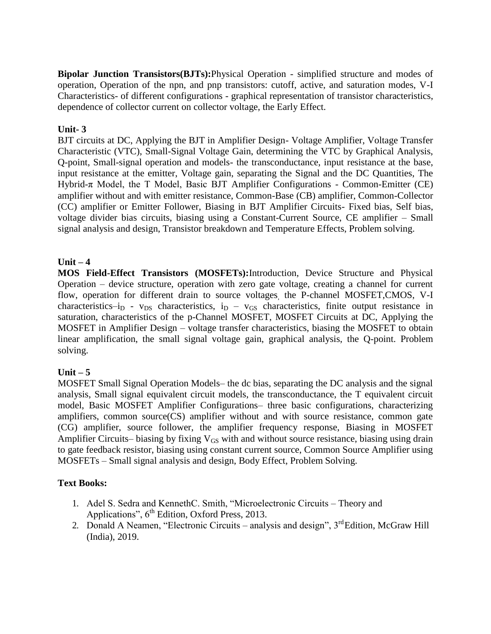**Bipolar Junction Transistors(BJTs):**Physical Operation - simplified structure and modes of operation, Operation of the npn, and pnp transistors: cutoff, active, and saturation modes, V-I Characteristics- of different configurations - graphical representation of transistor characteristics, dependence of collector current on collector voltage, the Early Effect.

## **Unit- 3**

BJT circuits at DC, Applying the BJT in Amplifier Design- Voltage Amplifier, Voltage Transfer Characteristic (VTC), Small-Signal Voltage Gain, determining the VTC by Graphical Analysis, Q-point, Small-signal operation and models- the transconductance, input resistance at the base, input resistance at the emitter, Voltage gain, separating the Signal and the DC Quantities, The Hybrid-π Model, the T Model, Basic BJT Amplifier Configurations - Common-Emitter (CE) amplifier without and with emitter resistance, Common-Base (CB) amplifier, Common-Collector (CC) amplifier or Emitter Follower, Biasing in BJT Amplifier Circuits- Fixed bias, Self bias, voltage divider bias circuits, biasing using a Constant-Current Source, CE amplifier – Small signal analysis and design, Transistor breakdown and Temperature Effects, Problem solving.

## **Unit – 4**

**MOS Field-Effect Transistors (MOSFETs):**Introduction, Device Structure and Physical Operation – device structure, operation with zero gate voltage, creating a channel for current flow, operation for different drain to source voltages, the P-channel MOSFET,CMOS, V-I characteristics–i<sub>D</sub> - v<sub>DS</sub> characteristics, i<sub>D</sub> – v<sub>GS</sub> characteristics, finite output resistance in saturation, characteristics of the p-Channel MOSFET, MOSFET Circuits at DC, Applying the MOSFET in Amplifier Design – voltage transfer characteristics, biasing the MOSFET to obtain linear amplification, the small signal voltage gain, graphical analysis, the Q-point. Problem solving.

## **Unit – 5**

MOSFET Small Signal Operation Models– the dc bias, separating the DC analysis and the signal analysis, Small signal equivalent circuit models, the transconductance, the T equivalent circuit model, Basic MOSFET Amplifier Configurations– three basic configurations, characterizing amplifiers, common source(CS) amplifier without and with source resistance, common gate (CG) amplifier, source follower, the amplifier frequency response, Biasing in MOSFET Amplifier Circuits– biasing by fixing  $V_{GS}$  with and without source resistance, biasing using drain to gate feedback resistor, biasing using constant current source, Common Source Amplifier using MOSFETs – Small signal analysis and design, Body Effect, Problem Solving.

## **Text Books:**

- 1. Adel S. Sedra and KennethC. Smith, "Microelectronic Circuits Theory and Applications",  $6<sup>th</sup>$  Edition, Oxford Press, 2013.
- 2. Donald A Neamen, "Electronic Circuits analysis and design",  $3<sup>rd</sup>$ Edition, McGraw Hill (India), 2019.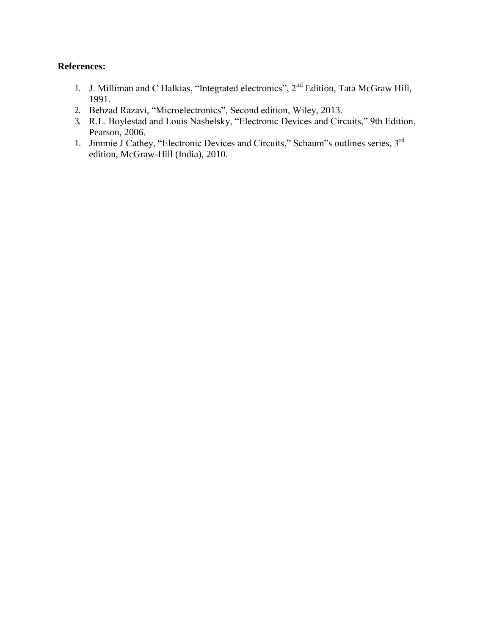### **References:**

- 1. J. Milliman and C Halkias, "Integrated electronics", 2<sup>nd</sup> Edition, Tata McGraw Hill, 1991.
- 2. Behzad Razavi, "Microelectronics", Second edition, Wiley, 2013.
- 3. R.L. Boylestad and Louis Nashelsky, "Electronic Devices and Circuits," 9th Edition, Pearson, 2006.
- 1. Jimmie J Cathey, "Electronic Devices and Circuits," Schaum"s outlines series, 3<sup>rd</sup> edition, McGraw-Hill (India), 2010.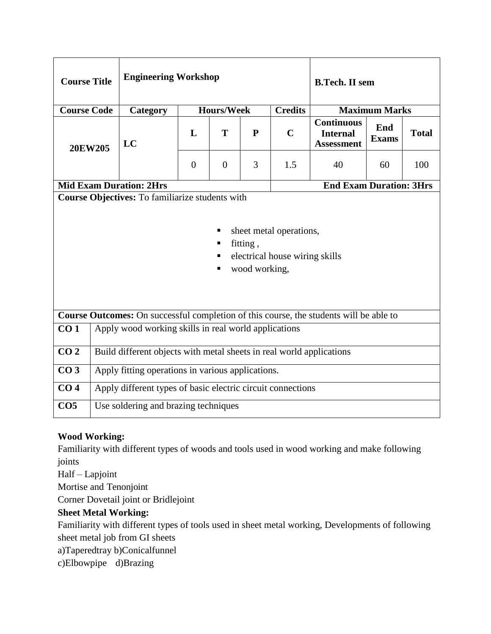| <b>Course Title</b>                                                                                                                                 |         | <b>Engineering Workshop</b>                                                            |                |                   | <b>B.Tech. II sem</b> |                |                                                           |                      |              |
|-----------------------------------------------------------------------------------------------------------------------------------------------------|---------|----------------------------------------------------------------------------------------|----------------|-------------------|-----------------------|----------------|-----------------------------------------------------------|----------------------|--------------|
| <b>Course Code</b>                                                                                                                                  |         | Category                                                                               |                | <b>Hours/Week</b> |                       | <b>Credits</b> |                                                           | <b>Maximum Marks</b> |              |
|                                                                                                                                                     | 20EW205 | LC                                                                                     | L              | T                 | ${\bf P}$             | $\mathbf C$    | <b>Continuous</b><br><b>Internal</b><br><b>Assessment</b> | End<br><b>Exams</b>  | <b>Total</b> |
|                                                                                                                                                     |         |                                                                                        | $\overline{0}$ | $\Omega$          | 3                     | 1.5            | 40                                                        | 60                   | 100          |
|                                                                                                                                                     |         | <b>Mid Exam Duration: 2Hrs</b>                                                         |                |                   |                       |                | <b>End Exam Duration: 3Hrs</b>                            |                      |              |
| Course Objectives: To familiarize students with<br>sheet metal operations,<br>fitting,<br>٠<br>electrical house wiring skills<br>wood working,<br>٠ |         |                                                                                        |                |                   |                       |                |                                                           |                      |              |
|                                                                                                                                                     |         | Course Outcomes: On successful completion of this course, the students will be able to |                |                   |                       |                |                                                           |                      |              |
| CO <sub>1</sub>                                                                                                                                     |         | Apply wood working skills in real world applications                                   |                |                   |                       |                |                                                           |                      |              |
| CO <sub>2</sub>                                                                                                                                     |         | Build different objects with metal sheets in real world applications                   |                |                   |                       |                |                                                           |                      |              |
| CO <sub>3</sub>                                                                                                                                     |         | Apply fitting operations in various applications.                                      |                |                   |                       |                |                                                           |                      |              |
| CO <sub>4</sub>                                                                                                                                     |         | Apply different types of basic electric circuit connections                            |                |                   |                       |                |                                                           |                      |              |
| CO <sub>5</sub>                                                                                                                                     |         | Use soldering and brazing techniques                                                   |                |                   |                       |                |                                                           |                      |              |

# **Wood Working:**

Familiarity with different types of woods and tools used in wood working and make following joints

Half – Lapjoint

Mortise and Tenonjoint

Corner Dovetail joint or Bridlejoint

# **Sheet Metal Working:**

Familiarity with different types of tools used in sheet metal working, Developments of following sheet metal job from GI sheets

a)Taperedtray b)Conicalfunnel

c)Elbowpipe d)Brazing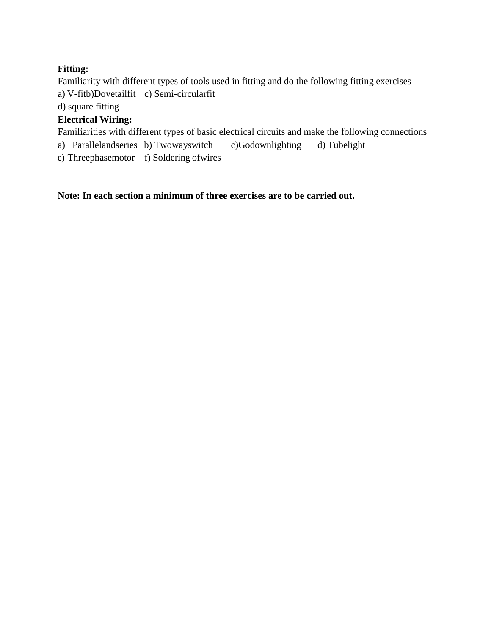# **Fitting:**

Familiarity with different types of tools used in fitting and do the following fitting exercises a) V-fitb)Dovetailfit c) Semi-circularfit

d) square fitting

# **Electrical Wiring:**

Familiarities with different types of basic electrical circuits and make the following connections

a) Parallelandseries b) Twowayswitch c)Godownlighting d) Tubelight

e) Threephasemotor f) Soldering ofwires

**Note: In each section a minimum of three exercises are to be carried out.**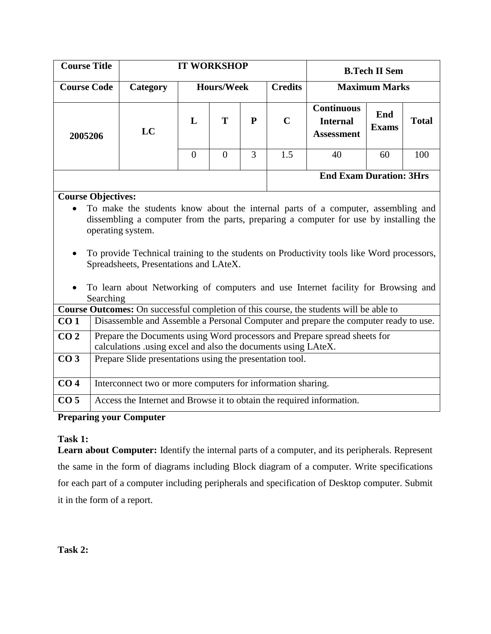| <b>Course Title</b>                                                                    |                                                                                                                                                                                                                                                                                                                                                                                                                                                                      |                                                                       | <b>IT WORKSHOP</b> |                   |                |                                                                                                 |                                                                                     | <b>B.Tech II Sem</b> |              |  |
|----------------------------------------------------------------------------------------|----------------------------------------------------------------------------------------------------------------------------------------------------------------------------------------------------------------------------------------------------------------------------------------------------------------------------------------------------------------------------------------------------------------------------------------------------------------------|-----------------------------------------------------------------------|--------------------|-------------------|----------------|-------------------------------------------------------------------------------------------------|-------------------------------------------------------------------------------------|----------------------|--------------|--|
| <b>Course Code</b>                                                                     |                                                                                                                                                                                                                                                                                                                                                                                                                                                                      | Category                                                              |                    | <b>Hours/Week</b> |                | <b>Credits</b>                                                                                  |                                                                                     | <b>Maximum Marks</b> |              |  |
| 2005206                                                                                |                                                                                                                                                                                                                                                                                                                                                                                                                                                                      | LC                                                                    | L                  | T                 | ${\bf P}$      | <b>Continuous</b><br>End<br>$\mathbf C$<br><b>Internal</b><br><b>Exams</b><br><b>Assessment</b> |                                                                                     |                      | <b>Total</b> |  |
|                                                                                        |                                                                                                                                                                                                                                                                                                                                                                                                                                                                      |                                                                       | $\overline{0}$     | $\overline{0}$    | $\overline{3}$ | 1.5                                                                                             | 40                                                                                  | 60                   | 100          |  |
|                                                                                        | <b>End Exam Duration: 3Hrs</b>                                                                                                                                                                                                                                                                                                                                                                                                                                       |                                                                       |                    |                   |                |                                                                                                 |                                                                                     |                      |              |  |
| Course Outcomes: On successful completion of this course, the students will be able to | <b>Course Objectives:</b><br>To make the students know about the internal parts of a computer, assembling and<br>dissembling a computer from the parts, preparing a computer for use by installing the<br>operating system.<br>To provide Technical training to the students on Productivity tools like Word processors,<br>Spreadsheets, Presentations and LAteX.<br>To learn about Networking of computers and use Internet facility for Browsing and<br>Searching |                                                                       |                    |                   |                |                                                                                                 |                                                                                     |                      |              |  |
| CO <sub>1</sub>                                                                        |                                                                                                                                                                                                                                                                                                                                                                                                                                                                      |                                                                       |                    |                   |                |                                                                                                 | Disassemble and Assemble a Personal Computer and prepare the computer ready to use. |                      |              |  |
| CO <sub>2</sub>                                                                        |                                                                                                                                                                                                                                                                                                                                                                                                                                                                      | calculations .using excel and also the documents using LAteX.         |                    |                   |                |                                                                                                 | Prepare the Documents using Word processors and Prepare spread sheets for           |                      |              |  |
| CO <sub>3</sub>                                                                        |                                                                                                                                                                                                                                                                                                                                                                                                                                                                      | Prepare Slide presentations using the presentation tool.              |                    |                   |                |                                                                                                 |                                                                                     |                      |              |  |
| CO <sub>4</sub>                                                                        |                                                                                                                                                                                                                                                                                                                                                                                                                                                                      | Interconnect two or more computers for information sharing.           |                    |                   |                |                                                                                                 |                                                                                     |                      |              |  |
| CO <sub>5</sub>                                                                        |                                                                                                                                                                                                                                                                                                                                                                                                                                                                      | Access the Internet and Browse it to obtain the required information. |                    |                   |                |                                                                                                 |                                                                                     |                      |              |  |
|                                                                                        |                                                                                                                                                                                                                                                                                                                                                                                                                                                                      | <b>Preparing your Computer</b>                                        |                    |                   |                |                                                                                                 |                                                                                     |                      |              |  |

# **Task 1:**

**Learn about Computer:** Identify the internal parts of a computer, and its peripherals. Represent the same in the form of diagrams including Block diagram of a computer. Write specifications for each part of a computer including peripherals and specification of Desktop computer. Submit it in the form of a report.

**Task 2:**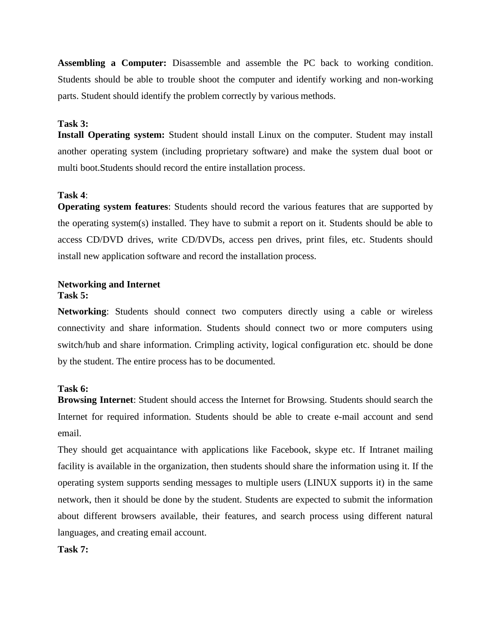**Assembling a Computer:** Disassemble and assemble the PC back to working condition. Students should be able to trouble shoot the computer and identify working and non-working parts. Student should identify the problem correctly by various methods.

#### **Task 3:**

**Install Operating system:** Student should install Linux on the computer. Student may install another operating system (including proprietary software) and make the system dual boot or multi boot.Students should record the entire installation process.

#### **Task 4**:

**Operating system features**: Students should record the various features that are supported by the operating system(s) installed. They have to submit a report on it. Students should be able to access CD/DVD drives, write CD/DVDs, access pen drives, print files, etc. Students should install new application software and record the installation process.

#### **Networking and Internet Task 5:**

**Networking**: Students should connect two computers directly using a cable or wireless connectivity and share information. Students should connect two or more computers using switch/hub and share information. Crimpling activity, logical configuration etc. should be done by the student. The entire process has to be documented.

#### **Task 6:**

**Browsing Internet**: Student should access the Internet for Browsing. Students should search the Internet for required information. Students should be able to create e-mail account and send email.

They should get acquaintance with applications like Facebook, skype etc. If Intranet mailing facility is available in the organization, then students should share the information using it. If the operating system supports sending messages to multiple users (LINUX supports it) in the same network, then it should be done by the student. Students are expected to submit the information about different browsers available, their features, and search process using different natural languages, and creating email account.

#### **Task 7:**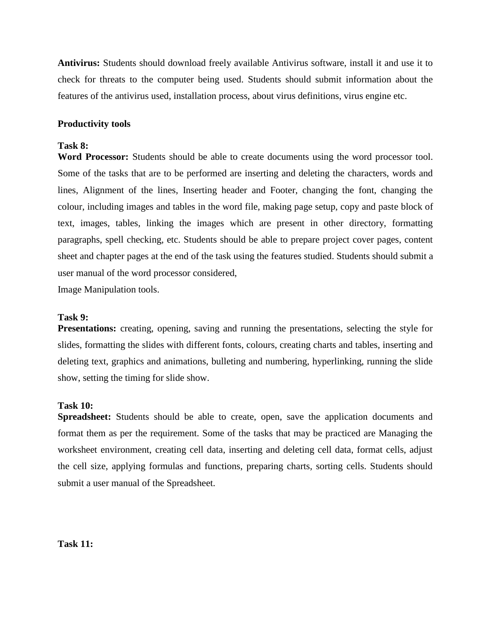**Antivirus:** Students should download freely available Antivirus software, install it and use it to check for threats to the computer being used. Students should submit information about the features of the antivirus used, installation process, about virus definitions, virus engine etc.

#### **Productivity tools**

#### **Task 8:**

**Word Processor:** Students should be able to create documents using the word processor tool. Some of the tasks that are to be performed are inserting and deleting the characters, words and lines, Alignment of the lines, Inserting header and Footer, changing the font, changing the colour, including images and tables in the word file, making page setup, copy and paste block of text, images, tables, linking the images which are present in other directory, formatting paragraphs, spell checking, etc. Students should be able to prepare project cover pages, content sheet and chapter pages at the end of the task using the features studied. Students should submit a user manual of the word processor considered,

Image Manipulation tools.

#### **Task 9:**

**Presentations:** creating, opening, saving and running the presentations, selecting the style for slides, formatting the slides with different fonts, colours, creating charts and tables, inserting and deleting text, graphics and animations, bulleting and numbering, hyperlinking, running the slide show, setting the timing for slide show.

#### **Task 10:**

**Spreadsheet:** Students should be able to create, open, save the application documents and format them as per the requirement. Some of the tasks that may be practiced are Managing the worksheet environment, creating cell data, inserting and deleting cell data, format cells, adjust the cell size, applying formulas and functions, preparing charts, sorting cells. Students should submit a user manual of the Spreadsheet.

**Task 11:**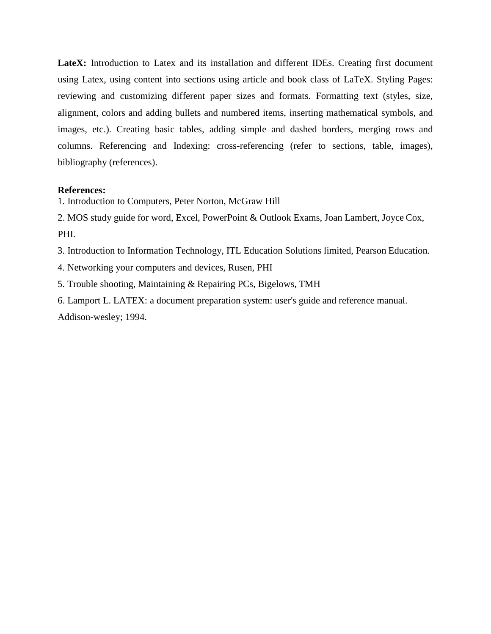LateX: Introduction to Latex and its installation and different IDEs. Creating first document using Latex, using content into sections using article and book class of LaTeX. Styling Pages: reviewing and customizing different paper sizes and formats. Formatting text (styles, size, alignment, colors and adding bullets and numbered items, inserting mathematical symbols, and images, etc.). Creating basic tables, adding simple and dashed borders, merging rows and columns. Referencing and Indexing: cross-referencing (refer to sections, table, images), bibliography (references).

#### **References:**

1. Introduction to Computers, Peter Norton, McGraw Hill

2. MOS study guide for word, Excel, PowerPoint & Outlook Exams, Joan Lambert, Joyce Cox, PHI.

3. Introduction to Information Technology, ITL Education Solutions limited, Pearson Education.

4. Networking your computers and devices, Rusen, PHI

5. Trouble shooting, Maintaining & Repairing PCs, Bigelows, TMH

6. Lamport L. LATEX: a document preparation system: user's guide and reference manual. Addison-wesley; 1994.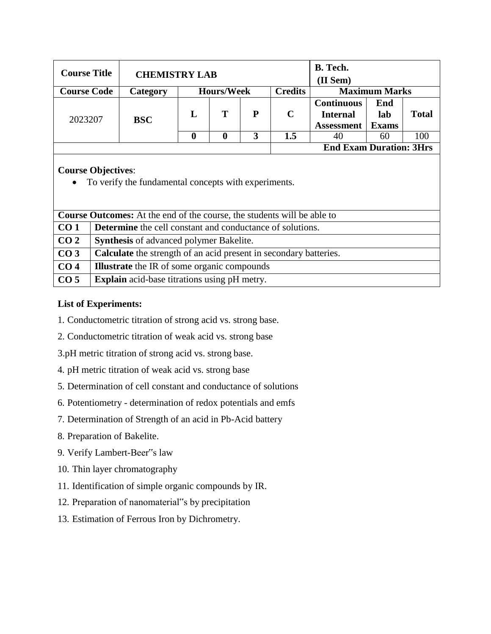| <b>Course Title</b> | <b>CHEMISTRY LAB</b> |   |                   | B. Tech.<br>(II Sem) |                |                                                           |                            |              |
|---------------------|----------------------|---|-------------------|----------------------|----------------|-----------------------------------------------------------|----------------------------|--------------|
| <b>Course Code</b>  | Category             |   | <b>Hours/Week</b> |                      | <b>Credits</b> |                                                           | <b>Maximum Marks</b>       |              |
| 2023207             | <b>BSC</b>           | L | т                 | P                    | $\mathbf C$    | <b>Continuous</b><br><b>Internal</b><br><b>Assessment</b> | End<br>lab<br><b>Exams</b> | <b>Total</b> |
|                     |                      | O | 0                 | 3                    | 1.5            | 40                                                        | 60                         | 100          |
|                     |                      |   |                   |                      |                | <b>End Exam Duration: 3Hrs</b>                            |                            |              |
|                     |                      |   |                   |                      |                |                                                           |                            |              |

# **Course Objectives**:

To verify the fundamental concepts with experiments.

|                 | <b>Course Outcomes:</b> At the end of the course, the students will be able to |  |  |  |  |  |  |
|-----------------|--------------------------------------------------------------------------------|--|--|--|--|--|--|
| CO <sub>1</sub> | <b>Determine</b> the cell constant and conductance of solutions.               |  |  |  |  |  |  |
| CO <sub>2</sub> | <b>Synthesis</b> of advanced polymer Bakelite.                                 |  |  |  |  |  |  |
| CO <sub>3</sub> | <b>Calculate</b> the strength of an acid present in secondary batteries.       |  |  |  |  |  |  |
| CO <sub>4</sub> | <b>Illustrate</b> the IR of some organic compounds                             |  |  |  |  |  |  |
| CO <sub>5</sub> | <b>Explain</b> acid-base titrations using pH metry.                            |  |  |  |  |  |  |

# **List of Experiments:**

- 1. Conductometric titration of strong acid vs. strong base.
- 2. Conductometric titration of weak acid vs. strong base
- 3.pH metric titration of strong acid vs. strong base.
- 4. pH metric titration of weak acid vs. strong base
- 5. Determination of cell constant and conductance of solutions
- 6. Potentiometry determination of redox potentials and emfs
- 7. Determination of Strength of an acid in Pb-Acid battery
- 8. Preparation of Bakelite.
- 9. Verify Lambert-Beer"s law
- 10. Thin layer chromatography
- 11. Identification of simple organic compounds by IR.
- 12. Preparation of nanomaterial"s by precipitation
- 13. Estimation of Ferrous Iron by Dichrometry.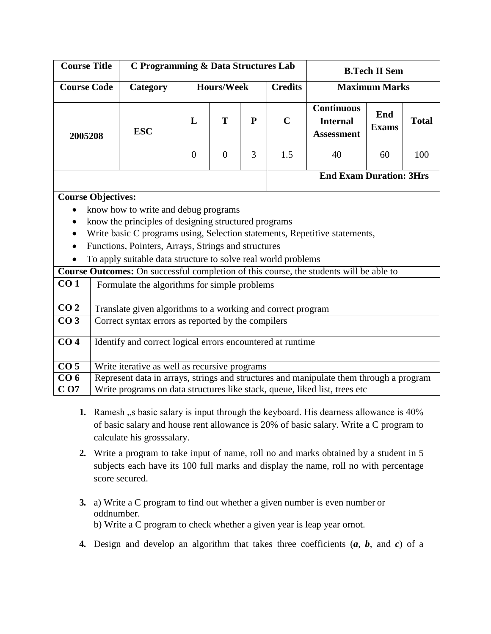| <b>Course Title</b> |                                                             |                                                               | C Programming & Data Structures Lab |                                     |   |             |                                                                                               | <b>B.Tech II Sem</b> |              |
|---------------------|-------------------------------------------------------------|---------------------------------------------------------------|-------------------------------------|-------------------------------------|---|-------------|-----------------------------------------------------------------------------------------------|----------------------|--------------|
| <b>Course Code</b>  |                                                             | Category                                                      |                                     | <b>Credits</b><br><b>Hours/Week</b> |   |             | <b>Maximum Marks</b>                                                                          |                      |              |
| 2005208             |                                                             | <b>ESC</b>                                                    | $\mathbf{L}$                        | T                                   | P | $\mathbf C$ | <b>Continuous</b><br><b>Internal</b><br><b>Assessment</b>                                     | End<br><b>Exams</b>  | <b>Total</b> |
|                     |                                                             |                                                               | $\overline{0}$                      | $\overline{0}$                      | 3 | 1.5         | 40                                                                                            | 60                   | 100          |
|                     | <b>End Exam Duration: 3Hrs</b>                              |                                                               |                                     |                                     |   |             |                                                                                               |                      |              |
|                     | <b>Course Objectives:</b>                                   |                                                               |                                     |                                     |   |             |                                                                                               |                      |              |
|                     |                                                             | know how to write and debug programs                          |                                     |                                     |   |             |                                                                                               |                      |              |
|                     |                                                             | know the principles of designing structured programs          |                                     |                                     |   |             |                                                                                               |                      |              |
|                     |                                                             |                                                               |                                     |                                     |   |             | Write basic C programs using, Selection statements, Repetitive statements,                    |                      |              |
|                     |                                                             | Functions, Pointers, Arrays, Strings and structures           |                                     |                                     |   |             |                                                                                               |                      |              |
|                     |                                                             | To apply suitable data structure to solve real world problems |                                     |                                     |   |             |                                                                                               |                      |              |
|                     |                                                             |                                                               |                                     |                                     |   |             | <b>Course Outcomes:</b> On successful completion of this course, the students will be able to |                      |              |
| CO <sub>1</sub>     |                                                             | Formulate the algorithms for simple problems                  |                                     |                                     |   |             |                                                                                               |                      |              |
| CO <sub>2</sub>     | Translate given algorithms to a working and correct program |                                                               |                                     |                                     |   |             |                                                                                               |                      |              |
| CO <sub>3</sub>     |                                                             | Correct syntax errors as reported by the compilers            |                                     |                                     |   |             |                                                                                               |                      |              |
| CO <sub>4</sub>     |                                                             | Identify and correct logical errors encountered at runtime    |                                     |                                     |   |             |                                                                                               |                      |              |

| CO <sub>5</sub> | Write iterative as well as recursive programs                                          |
|-----------------|----------------------------------------------------------------------------------------|
| CO <sub>6</sub> | Represent data in arrays, strings and structures and manipulate them through a program |
| $C_{O7}$        | Write programs on data structures like stack, queue, liked list, trees etc.            |

- **1.** Ramesh, s basic salary is input through the keyboard. His dearness allowance is 40% of basic salary and house rent allowance is 20% of basic salary. Write a C program to calculate his grosssalary.
- **2.** Write a program to take input of name, roll no and marks obtained by a student in 5 subjects each have its 100 full marks and display the name, roll no with percentage score secured.
- **3.** a) Write a C program to find out whether a given number is even number or oddnumber. b) Write a C program to check whether a given year is leap year ornot.
- **4.** Design and develop an algorithm that takes three coefficients (*a*, *b*, and *c*) of a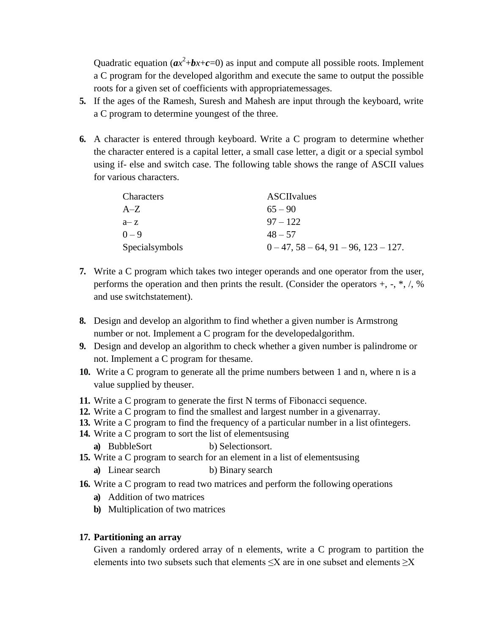Quadratic equation  $(ax^2+bx+c=0)$  as input and compute all possible roots. Implement a C program for the developed algorithm and execute the same to output the possible roots for a given set of coefficients with appropriatemessages.

- **5.** If the ages of the Ramesh, Suresh and Mahesh are input through the keyboard, write a C program to determine youngest of the three.
- **6.** A character is entered through keyboard. Write a C program to determine whether the character entered is a capital letter, a small case letter, a digit or a special symbol using if- else and switch case. The following table shows the range of ASCII values for various characters.

| Characters     | <b>ASCIIvalues</b>             |
|----------------|--------------------------------|
| $A-Z$          | $65 - 90$                      |
| $a - z$        | $97 - 122$                     |
| $0 - 9$        | $48 - 57$                      |
| Specialsymbols | $0-47, 58-64, 91-96, 123-127.$ |

- **7.** Write a C program which takes two integer operands and one operator from the user, performs the operation and then prints the result. (Consider the operators  $+, -, *, /, %$ and use switchstatement).
- **8.** Design and develop an algorithm to find whether a given number is Armstrong number or not. Implement a C program for the developedalgorithm.
- **9.** Design and develop an algorithm to check whether a given number is palindrome or not. Implement a C program for thesame.
- **10.** Write a C program to generate all the prime numbers between 1 and n, where n is a value supplied by theuser.
- **11.** Write a C program to generate the first N terms of Fibonacci sequence.
- **12.** Write a C program to find the smallest and largest number in a givenarray.
- **13.** Write a C program to find the frequency of a particular number in a list ofintegers.
- **14.** Write a C program to sort the list of elementsusing
	- **a**) BubbleSort b) Selectionsort.
- **15.** Write a C program to search for an element in a list of elementsusing
	- **a)** Linear search b) Binary search
- **16.** Write a C program to read two matrices and perform the following operations
	- **a)** Addition of two matrices
	- **b)** Multiplication of two matrices

## **17. Partitioning an array**

Given a randomly ordered array of n elements, write a C program to partition the elements into two subsets such that elements  $\leq X$  are in one subset and elements  $\geq X$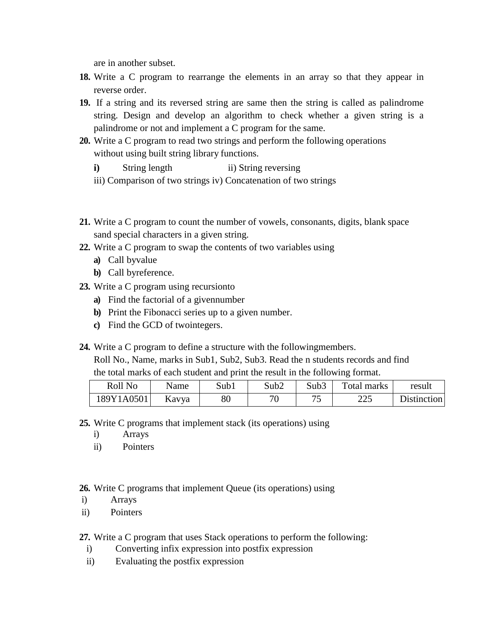are in another subset.

- **18.** Write a C program to rearrange the elements in an array so that they appear in reverse order.
- **19.** If a string and its reversed string are same then the string is called as palindrome string. Design and develop an algorithm to check whether a given string is a palindrome or not and implement a C program for the same.
- **20.** Write a C program to read two strings and perform the following operations without using built string library functions.
	- **i**) String length ii) String reversing
	- iii) Comparison of two strings iv) Concatenation of two strings
- **21.** Write a C program to count the number of vowels, consonants, digits, blank space sand special characters in a given string.
- **22.** Write a C program to swap the contents of two variables using
	- **a)** Call byvalue
	- **b)** Call byreference.
- **23.** Write a C program using recursionto
	- **a)** Find the factorial of a givennumber
	- **b)** Print the Fibonacci series up to a given number.
	- **c)** Find the GCD of twointegers.
- **24.** Write a C program to define a structure with the followingmembers.

Roll No., Name, marks in Sub1, Sub2, Sub3. Read the n students records and find the total marks of each student and print the result in the following format.

| Roll No    | Name  | Sub1   | Sub2 | Sub3    | Total marks | result             |
|------------|-------|--------|------|---------|-------------|--------------------|
| 189Y1A0501 | Kavya | $80\,$ | 70   | ワヒ<br>ັ | າາ -<br>44. | <b>Distinction</b> |

- **25.** Write C programs that implement stack (its operations) using
	- i) Arrays
	- ii) Pointers

**26.** Write C programs that implement Queue (its operations) using

- i) Arrays
- ii) Pointers

**27.** Write a C program that uses Stack operations to perform the following:

- i) Converting infix expression into postfix expression
- ii) Evaluating the postfix expression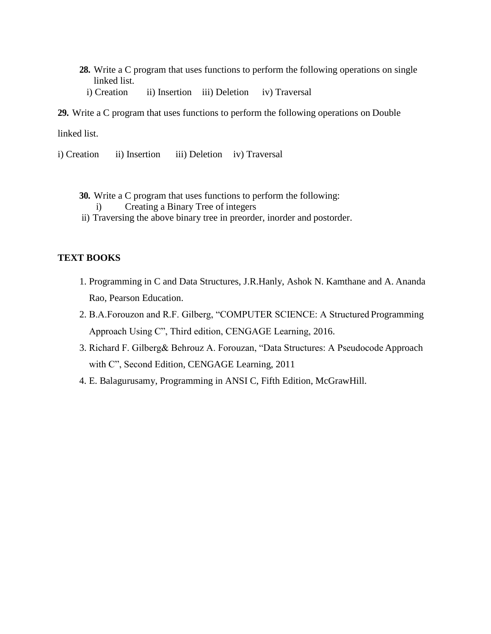- **28.** Write a C program that uses functions to perform the following operations on single linked list.
	- i) Creation ii) Insertion iii) Deletion iv) Traversal
- **29.** Write a C program that uses functions to perform the following operations on Double

linked list.

- i) Creation ii) Insertion iii) Deletion iv) Traversal
	- **30.** Write a C program that uses functions to perform the following:
		- i) Creating a Binary Tree of integers
	- ii) Traversing the above binary tree in preorder, inorder and postorder.

#### **TEXT BOOKS**

- 1. Programming in C and Data Structures, J.R.Hanly, Ashok N. Kamthane and A. Ananda Rao, Pearson Education.
- 2. B.A.Forouzon and R.F. Gilberg, "COMPUTER SCIENCE: A Structured Programming Approach Using C", Third edition, CENGAGE Learning, 2016.
- 3. Richard F. Gilberg& Behrouz A. Forouzan, "Data Structures: A Pseudocode Approach with C", Second Edition, CENGAGE Learning, 2011
- 4. E. Balagurusamy, Programming in ANSI C, Fifth Edition, McGrawHill.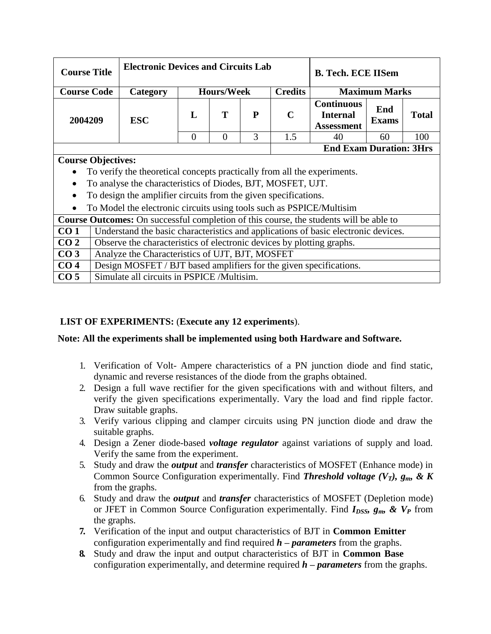|                                                                                                       | <b>Electronic Devices and Circuits Lab</b><br><b>Course Title</b>  |                                                                          |                                     |                |   | <b>B. Tech. ECE IISem</b> |                                                           |                     |              |
|-------------------------------------------------------------------------------------------------------|--------------------------------------------------------------------|--------------------------------------------------------------------------|-------------------------------------|----------------|---|---------------------------|-----------------------------------------------------------|---------------------|--------------|
| <b>Course Code</b>                                                                                    |                                                                    | Category                                                                 | <b>Hours/Week</b><br><b>Credits</b> |                |   | <b>Maximum Marks</b>      |                                                           |                     |              |
| 2004209                                                                                               |                                                                    | <b>ESC</b>                                                               | $\mathbf{L}$                        | T              | P | $\mathbf C$               | <b>Continuous</b><br><b>Internal</b><br><b>Assessment</b> | End<br><b>Exams</b> | <b>Total</b> |
|                                                                                                       |                                                                    |                                                                          | $\Omega$                            | $\overline{0}$ | 3 | 1.5                       | 40                                                        | 60                  | 100          |
|                                                                                                       |                                                                    |                                                                          |                                     |                |   |                           | <b>End Exam Duration: 3Hrs</b>                            |                     |              |
| <b>Course Objectives:</b>                                                                             |                                                                    |                                                                          |                                     |                |   |                           |                                                           |                     |              |
|                                                                                                       |                                                                    | To verify the theoretical concepts practically from all the experiments. |                                     |                |   |                           |                                                           |                     |              |
| To analyse the characteristics of Diodes, BJT, MOSFET, UJT.<br>$\bullet$                              |                                                                    |                                                                          |                                     |                |   |                           |                                                           |                     |              |
| To design the amplifier circuits from the given specifications.<br>$\bullet$                          |                                                                    |                                                                          |                                     |                |   |                           |                                                           |                     |              |
| To Model the electronic circuits using tools such as PSPICE/Multisim<br>$\bullet$                     |                                                                    |                                                                          |                                     |                |   |                           |                                                           |                     |              |
| Course Outcomes: On successful completion of this course, the students will be able to                |                                                                    |                                                                          |                                     |                |   |                           |                                                           |                     |              |
| CO <sub>1</sub><br>Understand the basic characteristics and applications of basic electronic devices. |                                                                    |                                                                          |                                     |                |   |                           |                                                           |                     |              |
| CO <sub>2</sub><br>Observe the characteristics of electronic devices by plotting graphs.              |                                                                    |                                                                          |                                     |                |   |                           |                                                           |                     |              |
| CO <sub>3</sub>                                                                                       | Analyze the Characteristics of UJT, BJT, MOSFET                    |                                                                          |                                     |                |   |                           |                                                           |                     |              |
| CO <sub>4</sub>                                                                                       | Design MOSFET / BJT based amplifiers for the given specifications. |                                                                          |                                     |                |   |                           |                                                           |                     |              |
| CO <sub>5</sub>                                                                                       | Simulate all circuits in PSPICE /Multisim.                         |                                                                          |                                     |                |   |                           |                                                           |                     |              |

# **LIST OF EXPERIMENTS:** (**Execute any 12 experiments**).

## **Note: All the experiments shall be implemented using both Hardware and Software.**

- 1. Verification of Volt- Ampere characteristics of a PN junction diode and find static, dynamic and reverse resistances of the diode from the graphs obtained.
- 2. Design a full wave rectifier for the given specifications with and without filters, and verify the given specifications experimentally. Vary the load and find ripple factor. Draw suitable graphs.
- 3. Verify various clipping and clamper circuits using PN junction diode and draw the suitable graphs.
- 4. Design a Zener diode-based *voltage regulator* against variations of supply and load. Verify the same from the experiment.
- 5. Study and draw the *output* and *transfer* characteristics of MOSFET (Enhance mode) in Common Source Configuration experimentally. Find *Threshold voltage (VT), gm, & K*  from the graphs.
- 6. Study and draw the *output* and *transfer* characteristics of MOSFET (Depletion mode) or JFET in Common Source Configuration experimentally. Find *IDSS, gm, & V<sup>P</sup>* from the graphs.
- **7.** Verification of the input and output characteristics of BJT in **Common Emitter** configuration experimentally and find required *h – parameters* from the graphs.
- **8.** Study and draw the input and output characteristics of BJT in **Common Base** configuration experimentally, and determine required *h – parameters* from the graphs.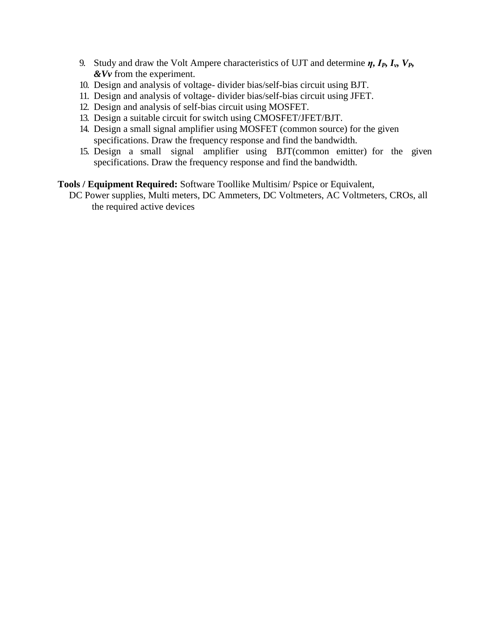- 9. Study and draw the Volt Ampere characteristics of UJT and determine *η, IP, Iv, VP, &Vv* from the experiment.
- 10. Design and analysis of voltage- divider bias/self-bias circuit using BJT.
- 11. Design and analysis of voltage- divider bias/self-bias circuit using JFET.
- 12. Design and analysis of self-bias circuit using MOSFET.
- 13. Design a suitable circuit for switch using CMOSFET/JFET/BJT.
- 14. Design a small signal amplifier using MOSFET (common source) for the given specifications. Draw the frequency response and find the bandwidth.
- 15. Design a small signal amplifier using BJT(common emitter) for the given specifications. Draw the frequency response and find the bandwidth.

#### **Tools / Equipment Required:** Software Toollike Multisim/ Pspice or Equivalent,

DC Power supplies, Multi meters, DC Ammeters, DC Voltmeters, AC Voltmeters, CROs, all the required active devices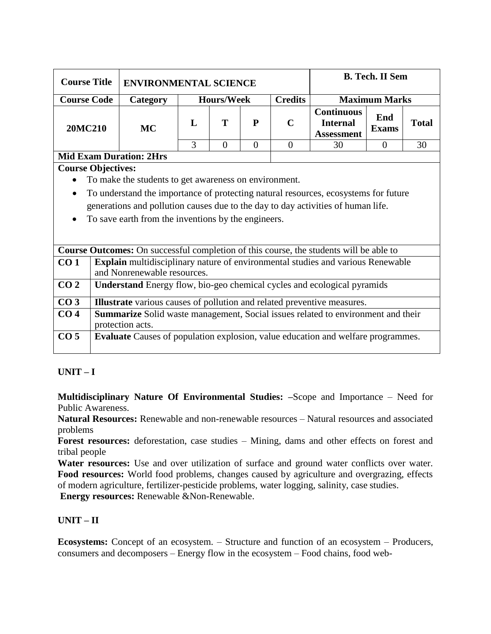| <b>Course Title</b>    | <b>ENVIRONMENTAL SCIENCE</b> |                   |   |   |                | <b>B. Tech. II Sem</b>                                    |                     |              |
|------------------------|------------------------------|-------------------|---|---|----------------|-----------------------------------------------------------|---------------------|--------------|
| <b>Course Code</b>     | <b>Category</b>              | <b>Hours/Week</b> |   |   | <b>Credits</b> | <b>Maximum Marks</b>                                      |                     |              |
| <b>20MC210</b>         | <b>MC</b>                    |                   | т | P | $\mathbf C$    | <b>Continuous</b><br><b>Internal</b><br><b>Assessment</b> | End<br><b>Exams</b> | <b>Total</b> |
|                        |                              |                   |   |   |                | 30                                                        |                     |              |
| Mid From Durotion, Mug |                              |                   |   |   |                |                                                           |                     |              |

#### **Mid Exam Duration: 2Hrs**

**Course Objectives:**

- To make the students to get awareness on environment.
- To understand the importance of protecting natural resources, ecosystems for future generations and pollution causes due to the day to day activities of human life.
- To save earth from the inventions by the engineers.

|                 | <b>Course Outcomes:</b> On successful completion of this course, the students will be able to                         |
|-----------------|-----------------------------------------------------------------------------------------------------------------------|
| CO1             | <b>Explain</b> multidisciplinary nature of environmental studies and various Renewable<br>and Nonrenewable resources. |
| CO <sub>2</sub> | Understand Energy flow, bio-geo chemical cycles and ecological pyramids                                               |
| CO <sub>3</sub> | <b>Illustrate</b> various causes of pollution and related preventive measures.                                        |
| CO <sub>4</sub> | <b>Summarize</b> Solid waste management, Social issues related to environment and their<br>protection acts.           |
| CO <sub>5</sub> | <b>Evaluate</b> Causes of population explosion, value education and welfare programmes.                               |

# **UNIT – I**

**Multidisciplinary Nature Of Environmental Studies: –**Scope and Importance – Need for Public Awareness.

**Natural Resources:** Renewable and non-renewable resources – Natural resources and associated problems

**Forest resources:** deforestation, case studies – Mining, dams and other effects on forest and tribal people

**Water resources:** Use and over utilization of surface and ground water conflicts over water. **Food resources:** World food problems, changes caused by agriculture and overgrazing, effects of modern agriculture, fertilizer-pesticide problems, water logging, salinity, case studies.

**Energy resources:** Renewable &Non-Renewable.

## **UNIT – II**

**Ecosystems:** Concept of an ecosystem. – Structure and function of an ecosystem – Producers, consumers and decomposers – Energy flow in the ecosystem – Food chains, food web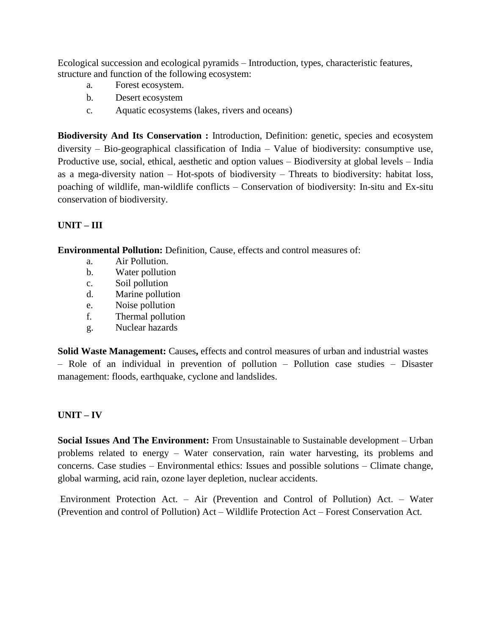Ecological succession and ecological pyramids – Introduction, types, characteristic features, structure and function of the following ecosystem:

- a. Forest ecosystem.
- b. Desert ecosystem
- c. Aquatic ecosystems (lakes, rivers and oceans)

**Biodiversity And Its Conservation :** Introduction, Definition: genetic, species and ecosystem diversity – Bio-geographical classification of India – Value of biodiversity: consumptive use, Productive use, social, ethical, aesthetic and option values – Biodiversity at global levels – India as a mega-diversity nation – Hot-spots of biodiversity – Threats to biodiversity: habitat loss, poaching of wildlife, man-wildlife conflicts – Conservation of biodiversity: In-situ and Ex-situ conservation of biodiversity.

## **UNIT – III**

**Environmental Pollution:** Definition, Cause, effects and control measures of:

- a. Air Pollution.
- b. Water pollution
- c. Soil pollution
- d. Marine pollution
- e. Noise pollution
- f. Thermal pollution
- g. Nuclear hazards

**Solid Waste Management:** Causes**,** effects and control measures of urban and industrial wastes – Role of an individual in prevention of pollution – Pollution case studies – Disaster management: floods, earthquake, cyclone and landslides.

## **UNIT – IV**

**Social Issues And The Environment:** From Unsustainable to Sustainable development – Urban problems related to energy – Water conservation, rain water harvesting, its problems and concerns. Case studies – Environmental ethics: Issues and possible solutions – Climate change, global warming, acid rain, ozone layer depletion, nuclear accidents.

Environment Protection Act. – Air (Prevention and Control of Pollution) Act. – Water (Prevention and control of Pollution) Act – Wildlife Protection Act – Forest Conservation Act.